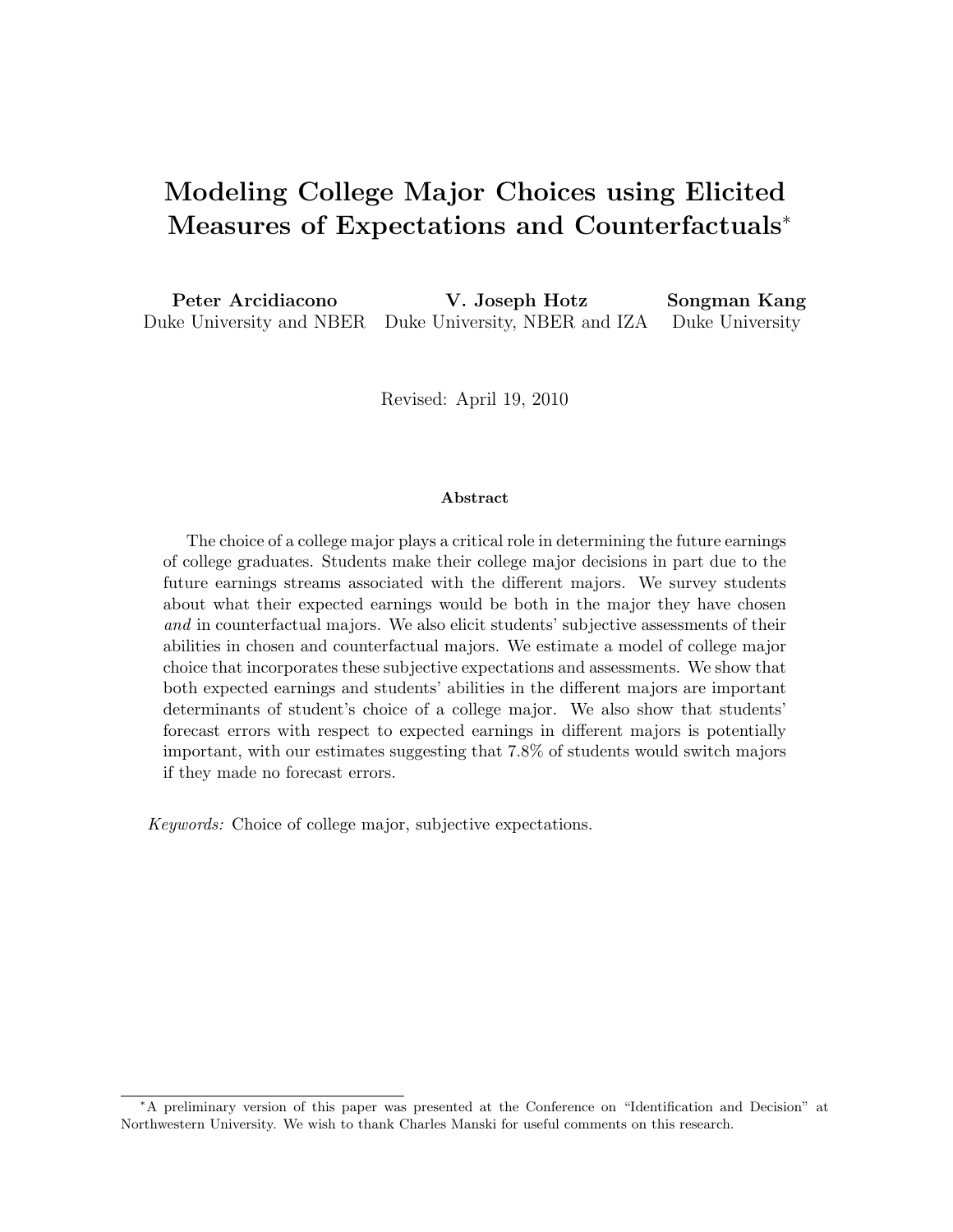# Modeling College Major Choices using Elicited Measures of Expectations and Counterfactuals<sup>∗</sup>

Peter Arcidiacono V. Joseph Hotz Songman Kang Duke University and NBER Duke University, NBER and IZA Duke University

Revised: April 19, 2010

#### Abstract

The choice of a college major plays a critical role in determining the future earnings of college graduates. Students make their college major decisions in part due to the future earnings streams associated with the different majors. We survey students about what their expected earnings would be both in the major they have chosen and in counterfactual majors. We also elicit students' subjective assessments of their abilities in chosen and counterfactual majors. We estimate a model of college major choice that incorporates these subjective expectations and assessments. We show that both expected earnings and students' abilities in the different majors are important determinants of student's choice of a college major. We also show that students' forecast errors with respect to expected earnings in different majors is potentially important, with our estimates suggesting that 7.8% of students would switch majors if they made no forecast errors.

Keywords: Choice of college major, subjective expectations.

<sup>∗</sup>A preliminary version of this paper was presented at the Conference on "Identification and Decision" at Northwestern University. We wish to thank Charles Manski for useful comments on this research.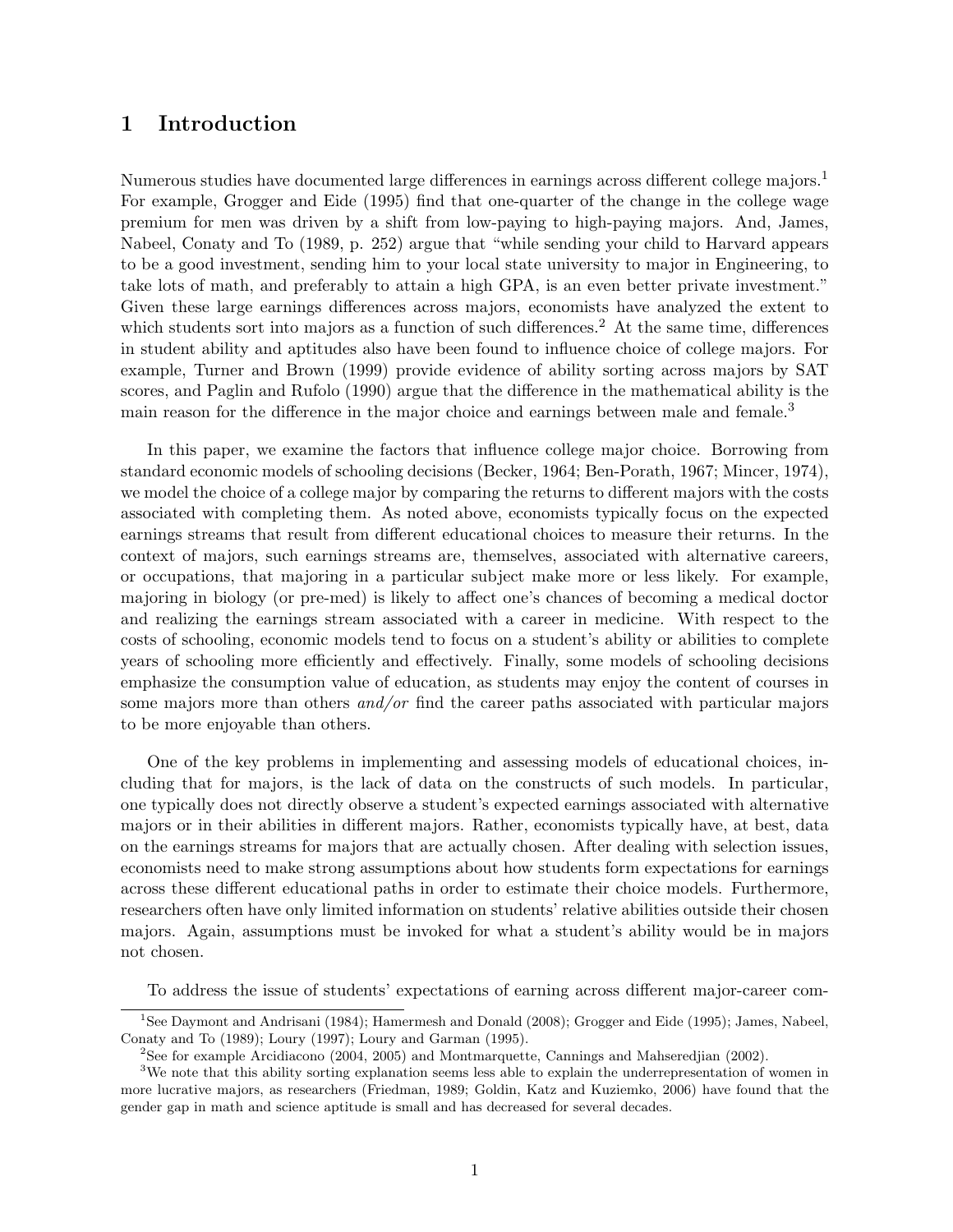### 1 Introduction

Numerous studies have documented large differences in earnings across different college majors.<sup>1</sup> For example, Grogger and Eide (1995) find that one-quarter of the change in the college wage premium for men was driven by a shift from low-paying to high-paying majors. And, James, Nabeel, Conaty and To (1989, p. 252) argue that "while sending your child to Harvard appears to be a good investment, sending him to your local state university to major in Engineering, to take lots of math, and preferably to attain a high GPA, is an even better private investment." Given these large earnings differences across majors, economists have analyzed the extent to which students sort into majors as a function of such differences.<sup>2</sup> At the same time, differences in student ability and aptitudes also have been found to influence choice of college majors. For example, Turner and Brown (1999) provide evidence of ability sorting across majors by SAT scores, and Paglin and Rufolo (1990) argue that the difference in the mathematical ability is the main reason for the difference in the major choice and earnings between male and female.<sup>3</sup>

In this paper, we examine the factors that influence college major choice. Borrowing from standard economic models of schooling decisions (Becker, 1964; Ben-Porath, 1967; Mincer, 1974), we model the choice of a college major by comparing the returns to different majors with the costs associated with completing them. As noted above, economists typically focus on the expected earnings streams that result from different educational choices to measure their returns. In the context of majors, such earnings streams are, themselves, associated with alternative careers, or occupations, that majoring in a particular subject make more or less likely. For example, majoring in biology (or pre-med) is likely to affect one's chances of becoming a medical doctor and realizing the earnings stream associated with a career in medicine. With respect to the costs of schooling, economic models tend to focus on a student's ability or abilities to complete years of schooling more efficiently and effectively. Finally, some models of schooling decisions emphasize the consumption value of education, as students may enjoy the content of courses in some majors more than others *and/or* find the career paths associated with particular majors to be more enjoyable than others.

One of the key problems in implementing and assessing models of educational choices, including that for majors, is the lack of data on the constructs of such models. In particular, one typically does not directly observe a student's expected earnings associated with alternative majors or in their abilities in different majors. Rather, economists typically have, at best, data on the earnings streams for majors that are actually chosen. After dealing with selection issues, economists need to make strong assumptions about how students form expectations for earnings across these different educational paths in order to estimate their choice models. Furthermore, researchers often have only limited information on students' relative abilities outside their chosen majors. Again, assumptions must be invoked for what a student's ability would be in majors not chosen.

To address the issue of students' expectations of earning across different major-career com-

<sup>&</sup>lt;sup>1</sup>See Daymont and Andrisani (1984); Hamermesh and Donald (2008); Grogger and Eide (1995); James, Nabeel, Conaty and To (1989); Loury (1997); Loury and Garman (1995).

<sup>&</sup>lt;sup>2</sup>See for example Arcidiacono (2004, 2005) and Montmarquette, Cannings and Mahseredjian (2002).

<sup>3</sup>We note that this ability sorting explanation seems less able to explain the underrepresentation of women in more lucrative majors, as researchers (Friedman, 1989; Goldin, Katz and Kuziemko, 2006) have found that the gender gap in math and science aptitude is small and has decreased for several decades.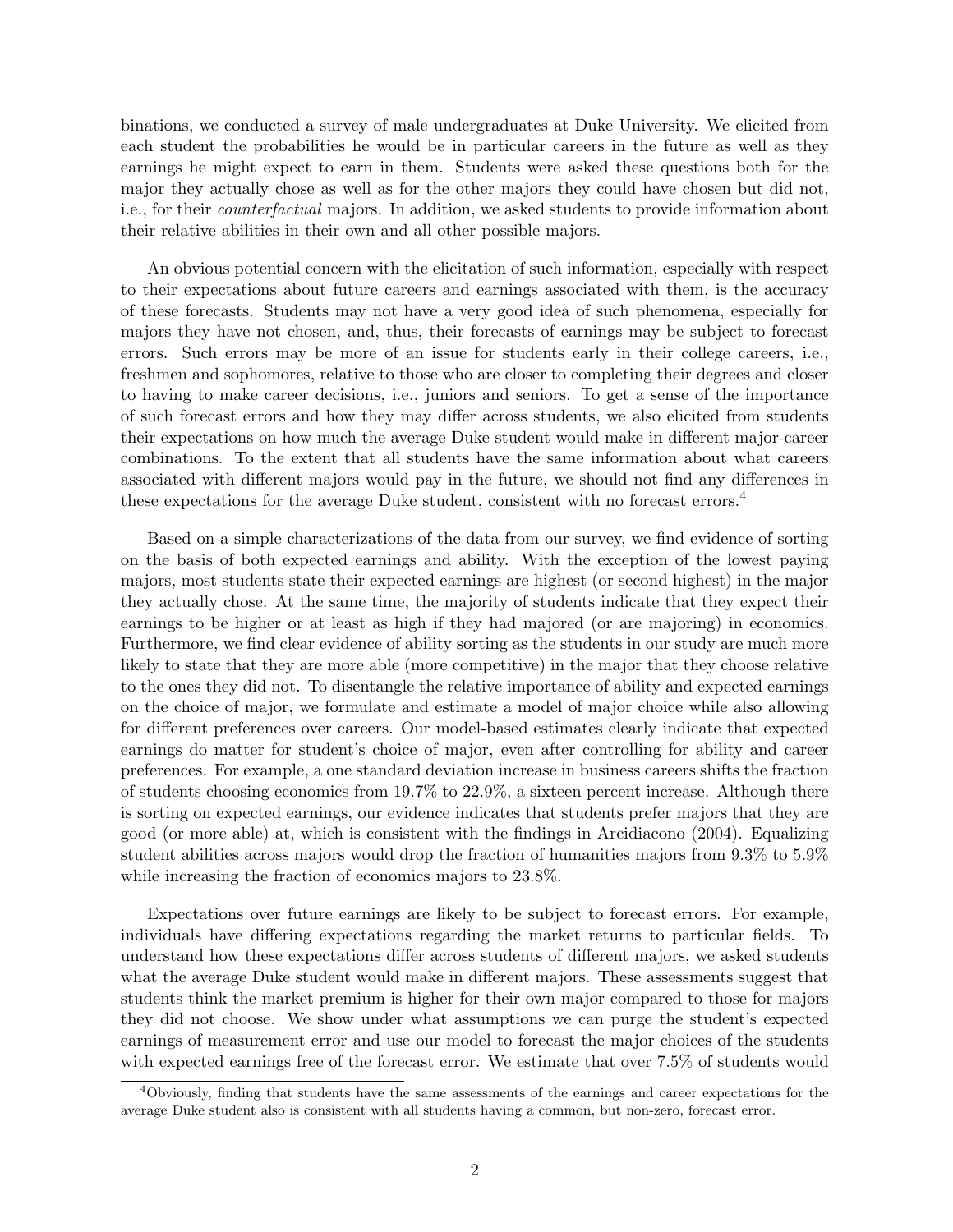binations, we conducted a survey of male undergraduates at Duke University. We elicited from each student the probabilities he would be in particular careers in the future as well as they earnings he might expect to earn in them. Students were asked these questions both for the major they actually chose as well as for the other majors they could have chosen but did not, i.e., for their counterfactual majors. In addition, we asked students to provide information about their relative abilities in their own and all other possible majors.

An obvious potential concern with the elicitation of such information, especially with respect to their expectations about future careers and earnings associated with them, is the accuracy of these forecasts. Students may not have a very good idea of such phenomena, especially for majors they have not chosen, and, thus, their forecasts of earnings may be subject to forecast errors. Such errors may be more of an issue for students early in their college careers, i.e., freshmen and sophomores, relative to those who are closer to completing their degrees and closer to having to make career decisions, i.e., juniors and seniors. To get a sense of the importance of such forecast errors and how they may differ across students, we also elicited from students their expectations on how much the average Duke student would make in different major-career combinations. To the extent that all students have the same information about what careers associated with different majors would pay in the future, we should not find any differences in these expectations for the average Duke student, consistent with no forecast errors.<sup>4</sup>

Based on a simple characterizations of the data from our survey, we find evidence of sorting on the basis of both expected earnings and ability. With the exception of the lowest paying majors, most students state their expected earnings are highest (or second highest) in the major they actually chose. At the same time, the majority of students indicate that they expect their earnings to be higher or at least as high if they had majored (or are majoring) in economics. Furthermore, we find clear evidence of ability sorting as the students in our study are much more likely to state that they are more able (more competitive) in the major that they choose relative to the ones they did not. To disentangle the relative importance of ability and expected earnings on the choice of major, we formulate and estimate a model of major choice while also allowing for different preferences over careers. Our model-based estimates clearly indicate that expected earnings do matter for student's choice of major, even after controlling for ability and career preferences. For example, a one standard deviation increase in business careers shifts the fraction of students choosing economics from 19.7% to 22.9%, a sixteen percent increase. Although there is sorting on expected earnings, our evidence indicates that students prefer majors that they are good (or more able) at, which is consistent with the findings in Arcidiacono (2004). Equalizing student abilities across majors would drop the fraction of humanities majors from 9.3% to 5.9% while increasing the fraction of economics majors to 23.8%.

Expectations over future earnings are likely to be subject to forecast errors. For example, individuals have differing expectations regarding the market returns to particular fields. To understand how these expectations differ across students of different majors, we asked students what the average Duke student would make in different majors. These assessments suggest that students think the market premium is higher for their own major compared to those for majors they did not choose. We show under what assumptions we can purge the student's expected earnings of measurement error and use our model to forecast the major choices of the students with expected earnings free of the forecast error. We estimate that over 7.5% of students would

<sup>4</sup>Obviously, finding that students have the same assessments of the earnings and career expectations for the average Duke student also is consistent with all students having a common, but non-zero, forecast error.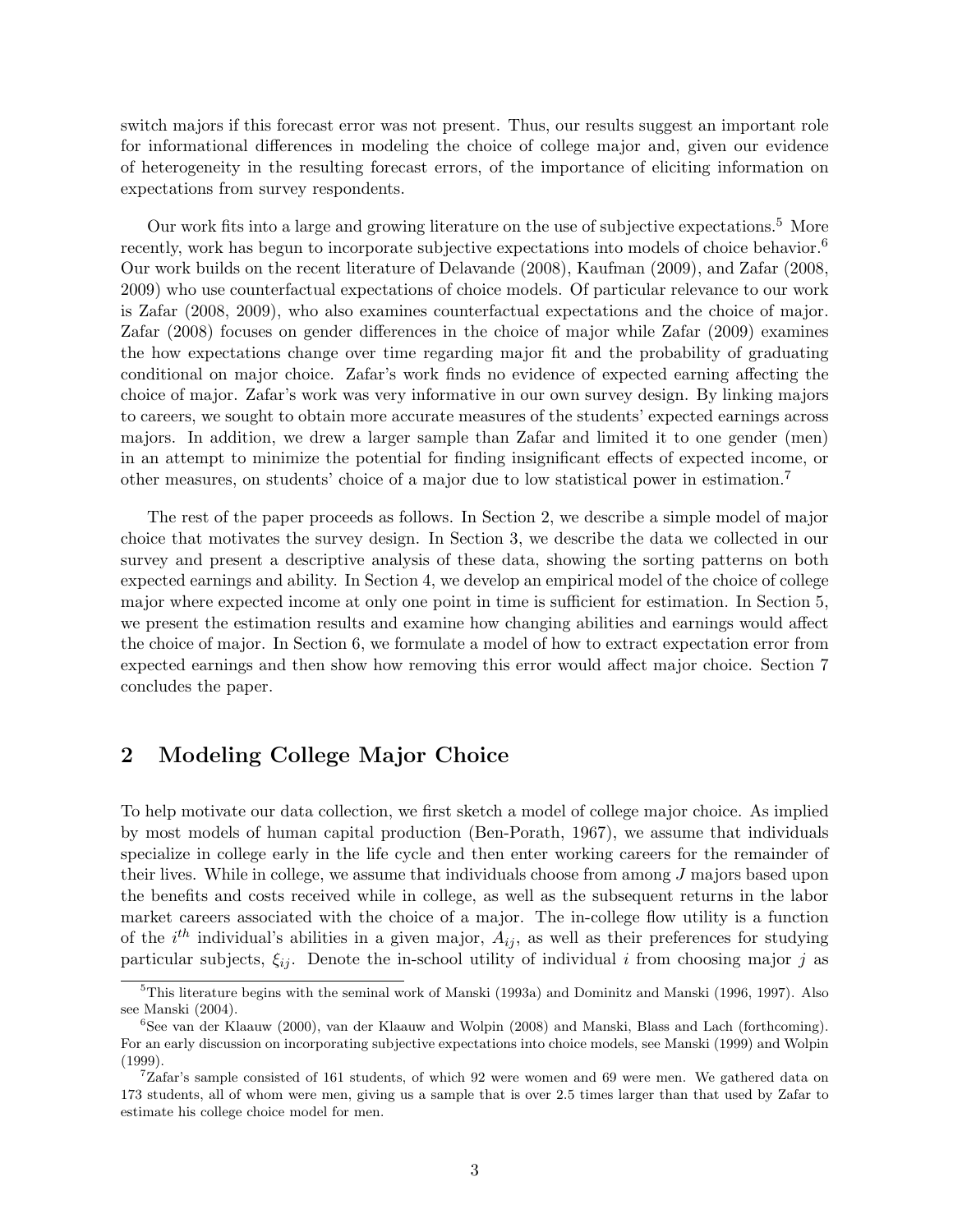switch majors if this forecast error was not present. Thus, our results suggest an important role for informational differences in modeling the choice of college major and, given our evidence of heterogeneity in the resulting forecast errors, of the importance of eliciting information on expectations from survey respondents.

Our work fits into a large and growing literature on the use of subjective expectations.<sup>5</sup> More recently, work has begun to incorporate subjective expectations into models of choice behavior.<sup>6</sup> Our work builds on the recent literature of Delavande (2008), Kaufman (2009), and Zafar (2008, 2009) who use counterfactual expectations of choice models. Of particular relevance to our work is Zafar (2008, 2009), who also examines counterfactual expectations and the choice of major. Zafar (2008) focuses on gender differences in the choice of major while Zafar (2009) examines the how expectations change over time regarding major fit and the probability of graduating conditional on major choice. Zafar's work finds no evidence of expected earning affecting the choice of major. Zafar's work was very informative in our own survey design. By linking majors to careers, we sought to obtain more accurate measures of the students' expected earnings across majors. In addition, we drew a larger sample than Zafar and limited it to one gender (men) in an attempt to minimize the potential for finding insignificant effects of expected income, or other measures, on students' choice of a major due to low statistical power in estimation.<sup>7</sup>

The rest of the paper proceeds as follows. In Section 2, we describe a simple model of major choice that motivates the survey design. In Section 3, we describe the data we collected in our survey and present a descriptive analysis of these data, showing the sorting patterns on both expected earnings and ability. In Section 4, we develop an empirical model of the choice of college major where expected income at only one point in time is sufficient for estimation. In Section 5, we present the estimation results and examine how changing abilities and earnings would affect the choice of major. In Section 6, we formulate a model of how to extract expectation error from expected earnings and then show how removing this error would affect major choice. Section 7 concludes the paper.

# 2 Modeling College Major Choice

To help motivate our data collection, we first sketch a model of college major choice. As implied by most models of human capital production (Ben-Porath, 1967), we assume that individuals specialize in college early in the life cycle and then enter working careers for the remainder of their lives. While in college, we assume that individuals choose from among  $J$  majors based upon the benefits and costs received while in college, as well as the subsequent returns in the labor market careers associated with the choice of a major. The in-college flow utility is a function of the *i*<sup>th</sup> individual's abilities in a given major,  $A_{ij}$ , as well as their preferences for studying particular subjects,  $\xi_{ii}$ . Denote the in-school utility of individual i from choosing major j as

<sup>5</sup>This literature begins with the seminal work of Manski (1993a) and Dominitz and Manski (1996, 1997). Also see Manski (2004).

<sup>6</sup>See van der Klaauw (2000), van der Klaauw and Wolpin (2008) and Manski, Blass and Lach (forthcoming). For an early discussion on incorporating subjective expectations into choice models, see Manski (1999) and Wolpin (1999).

<sup>7</sup>Zafar's sample consisted of 161 students, of which 92 were women and 69 were men. We gathered data on 173 students, all of whom were men, giving us a sample that is over 2.5 times larger than that used by Zafar to estimate his college choice model for men.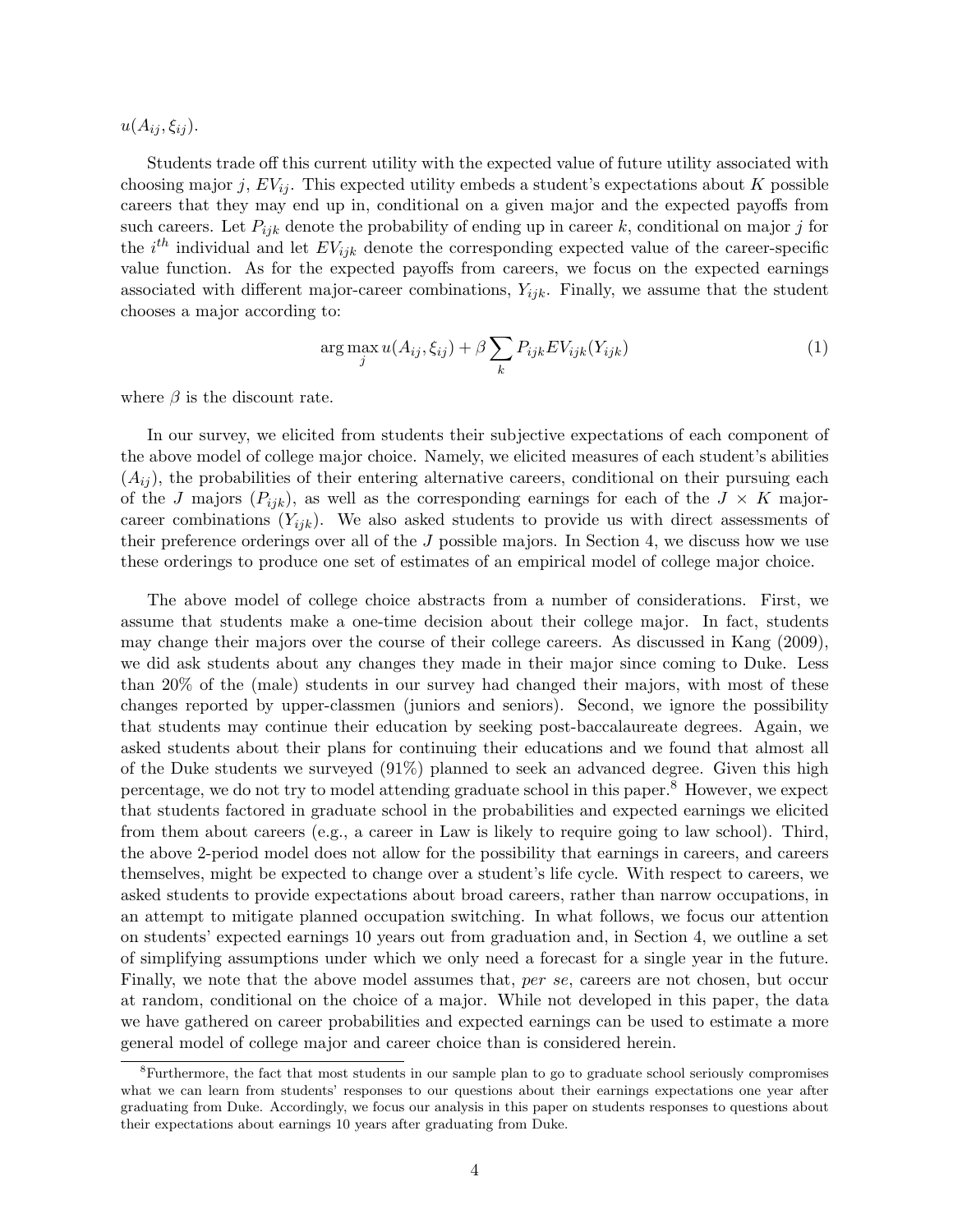$u(A_{ij}, \xi_{ij}).$ 

Students trade off this current utility with the expected value of future utility associated with choosing major j,  $EV_{ij}$ . This expected utility embeds a student's expectations about K possible careers that they may end up in, conditional on a given major and the expected payoffs from such careers. Let  $P_{ijk}$  denote the probability of ending up in career k, conditional on major j for the  $i^{th}$  individual and let  $EV_{ijk}$  denote the corresponding expected value of the career-specific value function. As for the expected payoffs from careers, we focus on the expected earnings associated with different major-career combinations,  $Y_{ijk}$ . Finally, we assume that the student chooses a major according to:

$$
\arg\max_{j} u(A_{ij}, \xi_{ij}) + \beta \sum_{k} P_{ijk} EV_{ijk}(Y_{ijk})
$$
\n(1)

where  $\beta$  is the discount rate.

In our survey, we elicited from students their subjective expectations of each component of the above model of college major choice. Namely, we elicited measures of each student's abilities  $(A_{ij})$ , the probabilities of their entering alternative careers, conditional on their pursuing each of the J majors  $(P_{ijk})$ , as well as the corresponding earnings for each of the  $J \times K$  majorcareer combinations  $(Y_{ijk})$ . We also asked students to provide us with direct assessments of their preference orderings over all of the J possible majors. In Section 4, we discuss how we use these orderings to produce one set of estimates of an empirical model of college major choice.

The above model of college choice abstracts from a number of considerations. First, we assume that students make a one-time decision about their college major. In fact, students may change their majors over the course of their college careers. As discussed in Kang (2009), we did ask students about any changes they made in their major since coming to Duke. Less than 20% of the (male) students in our survey had changed their majors, with most of these changes reported by upper-classmen (juniors and seniors). Second, we ignore the possibility that students may continue their education by seeking post-baccalaureate degrees. Again, we asked students about their plans for continuing their educations and we found that almost all of the Duke students we surveyed (91%) planned to seek an advanced degree. Given this high percentage, we do not try to model attending graduate school in this paper.<sup>8</sup> However, we expect that students factored in graduate school in the probabilities and expected earnings we elicited from them about careers (e.g., a career in Law is likely to require going to law school). Third, the above 2-period model does not allow for the possibility that earnings in careers, and careers themselves, might be expected to change over a student's life cycle. With respect to careers, we asked students to provide expectations about broad careers, rather than narrow occupations, in an attempt to mitigate planned occupation switching. In what follows, we focus our attention on students' expected earnings 10 years out from graduation and, in Section 4, we outline a set of simplifying assumptions under which we only need a forecast for a single year in the future. Finally, we note that the above model assumes that, per se, careers are not chosen, but occur at random, conditional on the choice of a major. While not developed in this paper, the data we have gathered on career probabilities and expected earnings can be used to estimate a more general model of college major and career choice than is considered herein.

<sup>8</sup>Furthermore, the fact that most students in our sample plan to go to graduate school seriously compromises what we can learn from students' responses to our questions about their earnings expectations one year after graduating from Duke. Accordingly, we focus our analysis in this paper on students responses to questions about their expectations about earnings 10 years after graduating from Duke.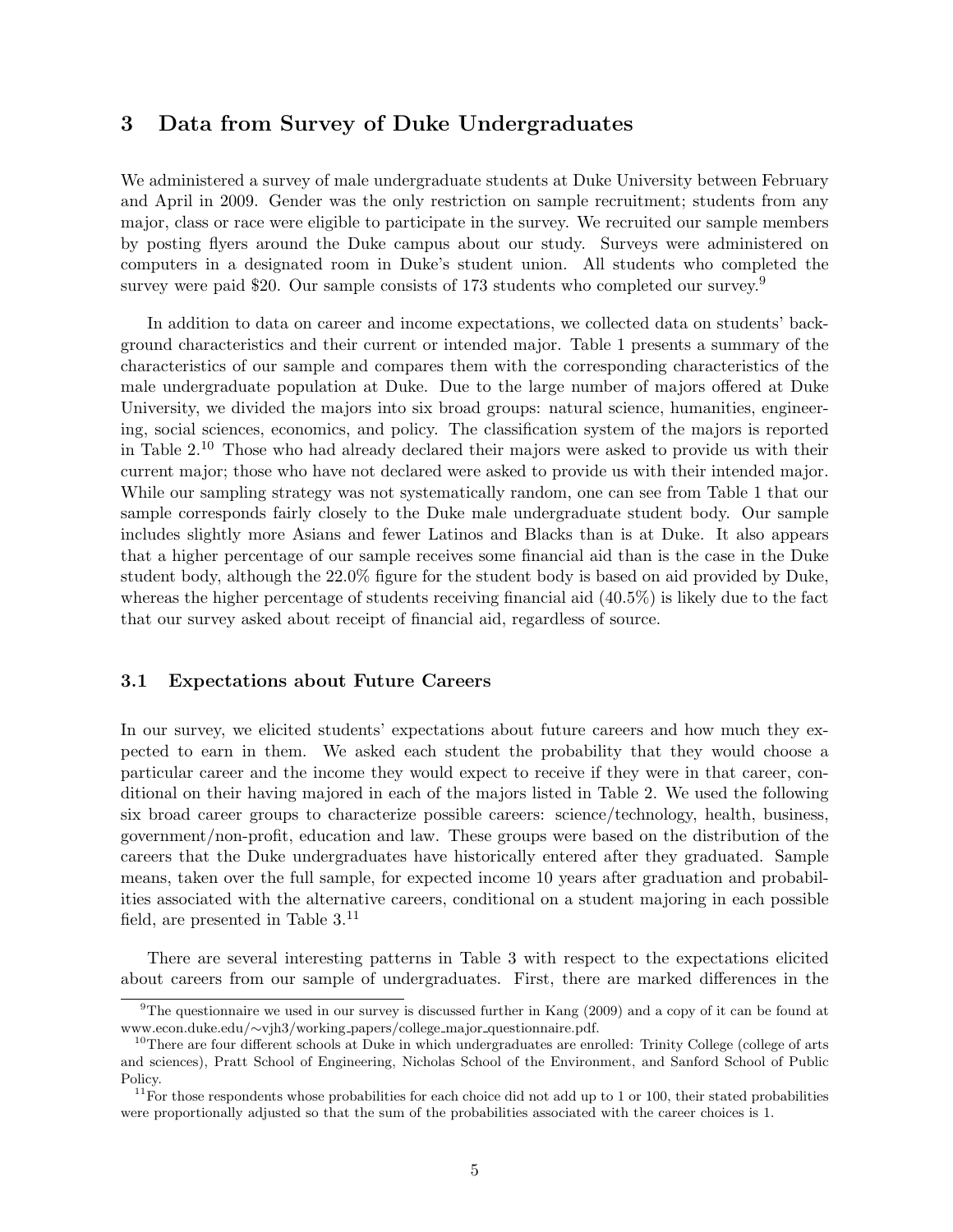# 3 Data from Survey of Duke Undergraduates

We administered a survey of male undergraduate students at Duke University between February and April in 2009. Gender was the only restriction on sample recruitment; students from any major, class or race were eligible to participate in the survey. We recruited our sample members by posting flyers around the Duke campus about our study. Surveys were administered on computers in a designated room in Duke's student union. All students who completed the survey were paid \$20. Our sample consists of 173 students who completed our survey.<sup>9</sup>

In addition to data on career and income expectations, we collected data on students' background characteristics and their current or intended major. Table 1 presents a summary of the characteristics of our sample and compares them with the corresponding characteristics of the male undergraduate population at Duke. Due to the large number of majors offered at Duke University, we divided the majors into six broad groups: natural science, humanities, engineering, social sciences, economics, and policy. The classification system of the majors is reported in Table  $2^{10}$  Those who had already declared their majors were asked to provide us with their current major; those who have not declared were asked to provide us with their intended major. While our sampling strategy was not systematically random, one can see from Table 1 that our sample corresponds fairly closely to the Duke male undergraduate student body. Our sample includes slightly more Asians and fewer Latinos and Blacks than is at Duke. It also appears that a higher percentage of our sample receives some financial aid than is the case in the Duke student body, although the 22.0% figure for the student body is based on aid provided by Duke, whereas the higher percentage of students receiving financial aid (40.5%) is likely due to the fact that our survey asked about receipt of financial aid, regardless of source.

#### 3.1 Expectations about Future Careers

In our survey, we elicited students' expectations about future careers and how much they expected to earn in them. We asked each student the probability that they would choose a particular career and the income they would expect to receive if they were in that career, conditional on their having majored in each of the majors listed in Table 2. We used the following six broad career groups to characterize possible careers: science/technology, health, business, government/non-profit, education and law. These groups were based on the distribution of the careers that the Duke undergraduates have historically entered after they graduated. Sample means, taken over the full sample, for expected income 10 years after graduation and probabilities associated with the alternative careers, conditional on a student majoring in each possible field, are presented in Table  $3^{11}$ 

There are several interesting patterns in Table 3 with respect to the expectations elicited about careers from our sample of undergraduates. First, there are marked differences in the

<sup>&</sup>lt;sup>9</sup>The questionnaire we used in our survey is discussed further in Kang (2009) and a copy of it can be found at www.econ.duke.edu/∼vjh3/working papers/college major questionnaire.pdf.

 $10$ There are four different schools at Duke in which undergraduates are enrolled: Trinity College (college of arts and sciences), Pratt School of Engineering, Nicholas School of the Environment, and Sanford School of Public Policy.

 $11$  For those respondents whose probabilities for each choice did not add up to 1 or 100, their stated probabilities were proportionally adjusted so that the sum of the probabilities associated with the career choices is 1.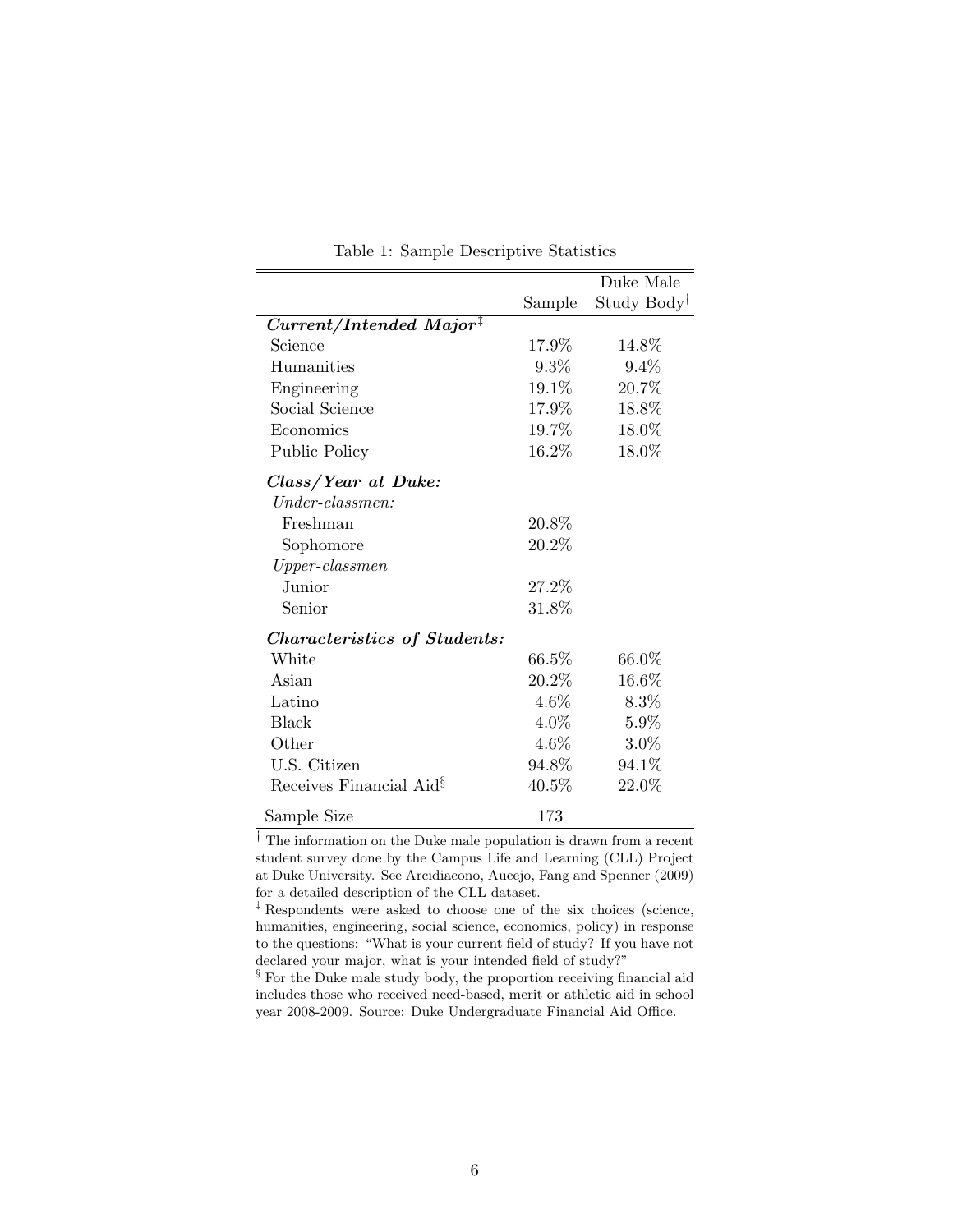|                                      |          | Duke Male               |
|--------------------------------------|----------|-------------------------|
|                                      | Sample   | Study Body <sup>†</sup> |
| $Current/Intended\ Major^{\ddagger}$ |          |                         |
| Science                              | 17.9%    | 14.8%                   |
| Humanities                           | $9.3\%$  | 9.4%                    |
| Engineering                          | 19.1%    | 20.7%                   |
| Social Science                       | 17.9%    | 18.8%                   |
| Economics                            | 19.7%    | 18.0%                   |
| Public Policy                        | 16.2%    | 18.0%                   |
| Class/Year at Duke:                  |          |                         |
| $Under-classmen:$                    |          |                         |
| Freshman                             | 20.8%    |                         |
| Sophomore                            | 20.2%    |                         |
| $Upper-classmen$                     |          |                         |
| Junior                               | 27.2%    |                         |
| Senior                               | 31.8%    |                         |
| <i>Characteristics of Students:</i>  |          |                         |
| White                                | $66.5\%$ | 66.0%                   |
| Asian                                | 20.2%    | 16.6%                   |
| Latino                               | $4.6\%$  | 8.3%                    |
| Black                                | $4.0\%$  | $5.9\%$                 |
| Other                                | $4.6\%$  | $3.0\%$                 |
| U.S. Citizen                         | 94.8%    | 94.1%                   |
| Receives Financial Aid <sup>§</sup>  | 40.5%    | 22.0%                   |
| Sample Size                          | 173      |                         |

Table 1: Sample Descriptive Statistics

† The information on the Duke male population is drawn from a recent student survey done by the Campus Life and Learning (CLL) Project at Duke University. See Arcidiacono, Aucejo, Fang and Spenner (2009) for a detailed description of the CLL dataset.

‡ Respondents were asked to choose one of the six choices (science, humanities, engineering, social science, economics, policy) in response to the questions: "What is your current field of study? If you have not declared your major, what is your intended field of study?"

§ For the Duke male study body, the proportion receiving financial aid includes those who received need-based, merit or athletic aid in school year 2008-2009. Source: Duke Undergraduate Financial Aid Office.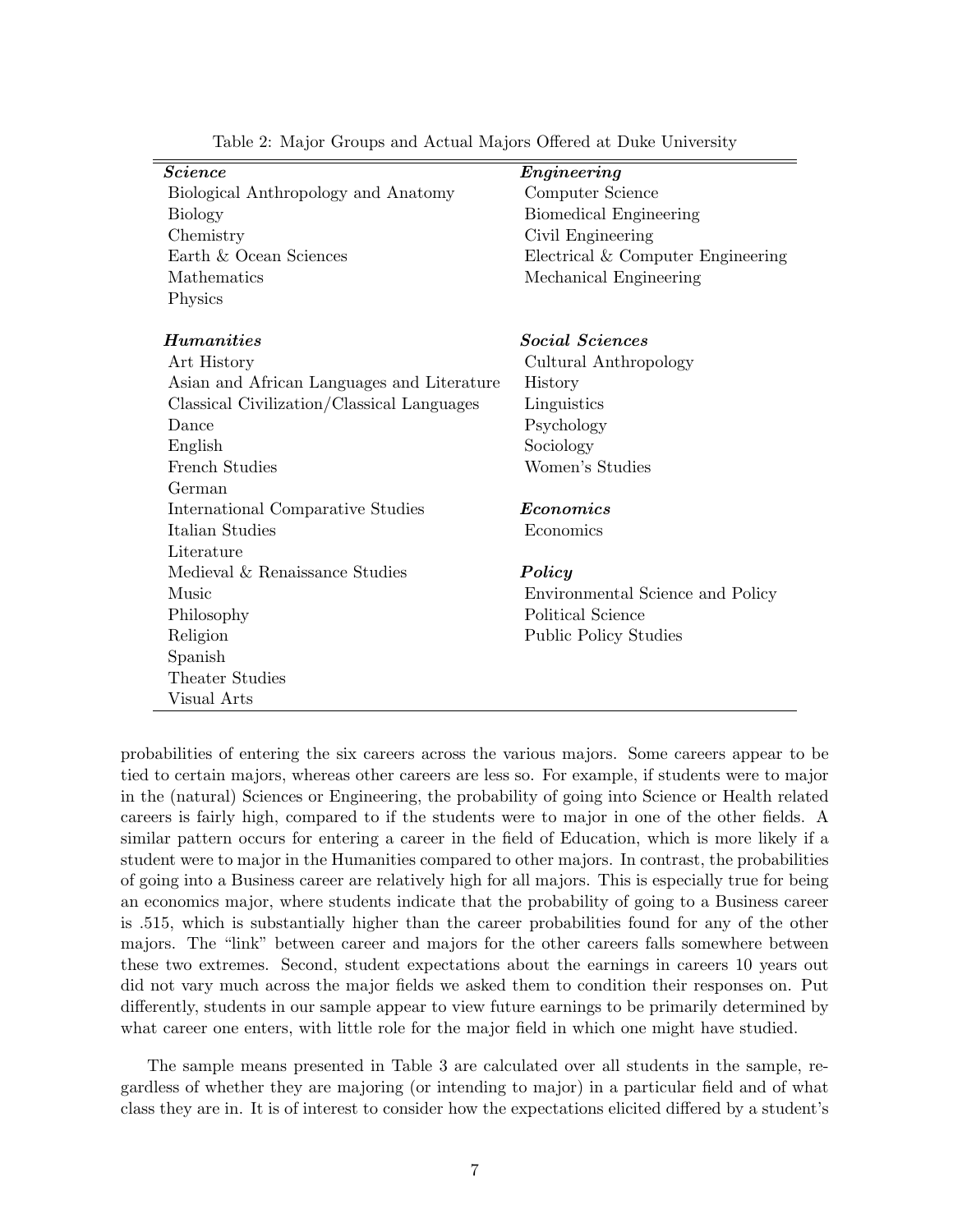| <i><u>Science</u></i>                      | Engineering                       |
|--------------------------------------------|-----------------------------------|
| Biological Anthropology and Anatomy        | Computer Science                  |
| <b>Biology</b>                             | Biomedical Engineering            |
| Chemistry                                  | Civil Engineering                 |
| Earth & Ocean Sciences                     | Electrical & Computer Engineering |
| Mathematics                                | Mechanical Engineering            |
| Physics                                    |                                   |
| <i>Humanities</i>                          | <i>Social Sciences</i>            |
| Art History                                | Cultural Anthropology             |
| Asian and African Languages and Literature | History                           |
| Classical Civilization/Classical Languages | Linguistics                       |
| Dance                                      | Psychology                        |
| English                                    | Sociology                         |
| <b>French Studies</b>                      | Women's Studies                   |
| German                                     |                                   |
| International Comparative Studies          | Economics                         |
| Italian Studies                            | Economics                         |
| Literature                                 |                                   |
| Medieval & Renaissance Studies             | Policy                            |
| Music                                      | Environmental Science and Policy  |
| Philosophy                                 | <b>Political Science</b>          |
| Religion                                   | <b>Public Policy Studies</b>      |
| Spanish                                    |                                   |
| Theater Studies                            |                                   |
| Visual Arts                                |                                   |

Table 2: Major Groups and Actual Majors Offered at Duke University

probabilities of entering the six careers across the various majors. Some careers appear to be tied to certain majors, whereas other careers are less so. For example, if students were to major in the (natural) Sciences or Engineering, the probability of going into Science or Health related careers is fairly high, compared to if the students were to major in one of the other fields. A similar pattern occurs for entering a career in the field of Education, which is more likely if a student were to major in the Humanities compared to other majors. In contrast, the probabilities of going into a Business career are relatively high for all majors. This is especially true for being an economics major, where students indicate that the probability of going to a Business career is .515, which is substantially higher than the career probabilities found for any of the other majors. The "link" between career and majors for the other careers falls somewhere between these two extremes. Second, student expectations about the earnings in careers 10 years out did not vary much across the major fields we asked them to condition their responses on. Put differently, students in our sample appear to view future earnings to be primarily determined by what career one enters, with little role for the major field in which one might have studied.

The sample means presented in Table 3 are calculated over all students in the sample, regardless of whether they are majoring (or intending to major) in a particular field and of what class they are in. It is of interest to consider how the expectations elicited differed by a student's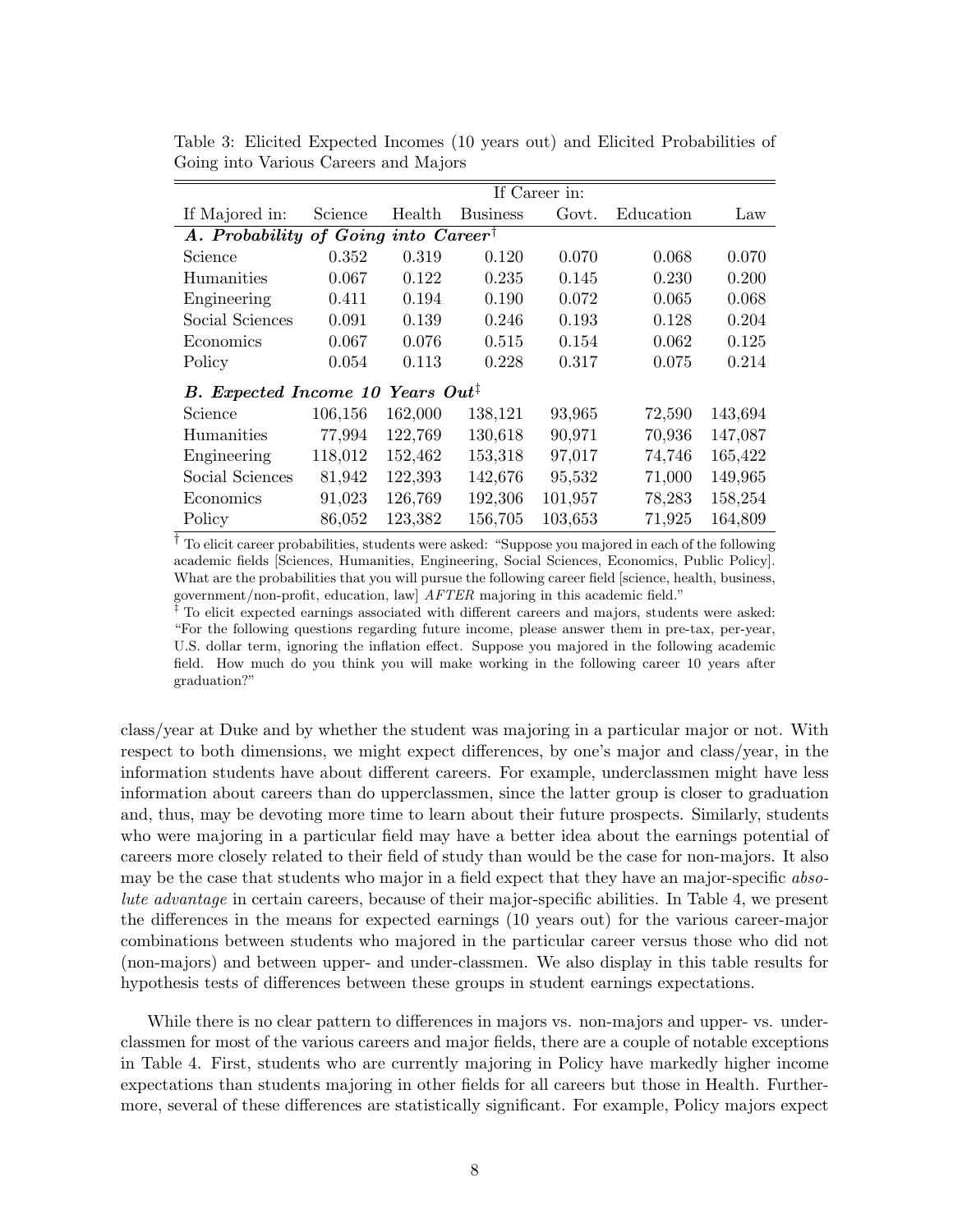|                                                     | If Career in: |         |                 |         |           |         |  |  |  |  |  |
|-----------------------------------------------------|---------------|---------|-----------------|---------|-----------|---------|--|--|--|--|--|
| If Majored in:                                      | Science       | Health  | <b>Business</b> | Govt.   | Education | Law     |  |  |  |  |  |
| A. Probability of Going into Career <sup>†</sup>    |               |         |                 |         |           |         |  |  |  |  |  |
| Science                                             | 0.352         | 0.319   | 0.120           | 0.070   | 0.068     | 0.070   |  |  |  |  |  |
| <b>Humanities</b>                                   | 0.067         | 0.122   | 0.235           | 0.145   | 0.230     | 0.200   |  |  |  |  |  |
| Engineering                                         | 0.411         | 0.194   | 0.190           | 0.072   | 0.065     | 0.068   |  |  |  |  |  |
| Social Sciences                                     | 0.091         | 0.139   | 0.246           | 0.193   | 0.128     | 0.204   |  |  |  |  |  |
| Economics                                           | 0.067         | 0.076   | 0.515           | 0.154   | 0.062     | 0.125   |  |  |  |  |  |
| Policy                                              | 0.054         | 0.113   | 0.228           | 0.317   | 0.075     | 0.214   |  |  |  |  |  |
| <b>B.</b> Expected Income 10 Years Out <sup>†</sup> |               |         |                 |         |           |         |  |  |  |  |  |
| Science                                             | 106,156       | 162,000 | 138,121         | 93,965  | 72,590    | 143,694 |  |  |  |  |  |
| Humanities                                          | 77,994        | 122,769 | 130,618         | 90,971  | 70,936    | 147,087 |  |  |  |  |  |
| Engineering                                         | 118,012       | 152,462 | 153,318         | 97,017  | 74,746    | 165,422 |  |  |  |  |  |
| Social Sciences                                     | 81,942        | 122,393 | 142,676         | 95,532  | 71,000    | 149,965 |  |  |  |  |  |
| Economics                                           | 91,023        | 126,769 | 192,306         | 101,957 | 78,283    | 158,254 |  |  |  |  |  |
| Policy                                              | 86,052        | 123,382 | 156,705         | 103,653 | 71,925    | 164,809 |  |  |  |  |  |

Table 3: Elicited Expected Incomes (10 years out) and Elicited Probabilities of Going into Various Careers and Majors

<sup>†</sup> To elicit career probabilities, students were asked: "Suppose you majored in each of the following academic fields [Sciences, Humanities, Engineering, Social Sciences, Economics, Public Policy]. What are the probabilities that you will pursue the following career field [science, health, business, government/non-profit, education, law] AFTER majoring in this academic field."

 $\overline{f}$  To elicit expected earnings associated with different careers and majors, students were asked: "For the following questions regarding future income, please answer them in pre-tax, per-year, U.S. dollar term, ignoring the inflation effect. Suppose you majored in the following academic field. How much do you think you will make working in the following career 10 years after graduation?"

class/year at Duke and by whether the student was majoring in a particular major or not. With respect to both dimensions, we might expect differences, by one's major and class/year, in the information students have about different careers. For example, underclassmen might have less information about careers than do upperclassmen, since the latter group is closer to graduation and, thus, may be devoting more time to learn about their future prospects. Similarly, students who were majoring in a particular field may have a better idea about the earnings potential of careers more closely related to their field of study than would be the case for non-majors. It also may be the case that students who major in a field expect that they have an major-specific absolute advantage in certain careers, because of their major-specific abilities. In Table 4, we present the differences in the means for expected earnings (10 years out) for the various career-major combinations between students who majored in the particular career versus those who did not (non-majors) and between upper- and under-classmen. We also display in this table results for hypothesis tests of differences between these groups in student earnings expectations.

While there is no clear pattern to differences in majors vs. non-majors and upper- vs. underclassmen for most of the various careers and major fields, there are a couple of notable exceptions in Table 4. First, students who are currently majoring in Policy have markedly higher income expectations than students majoring in other fields for all careers but those in Health. Furthermore, several of these differences are statistically significant. For example, Policy majors expect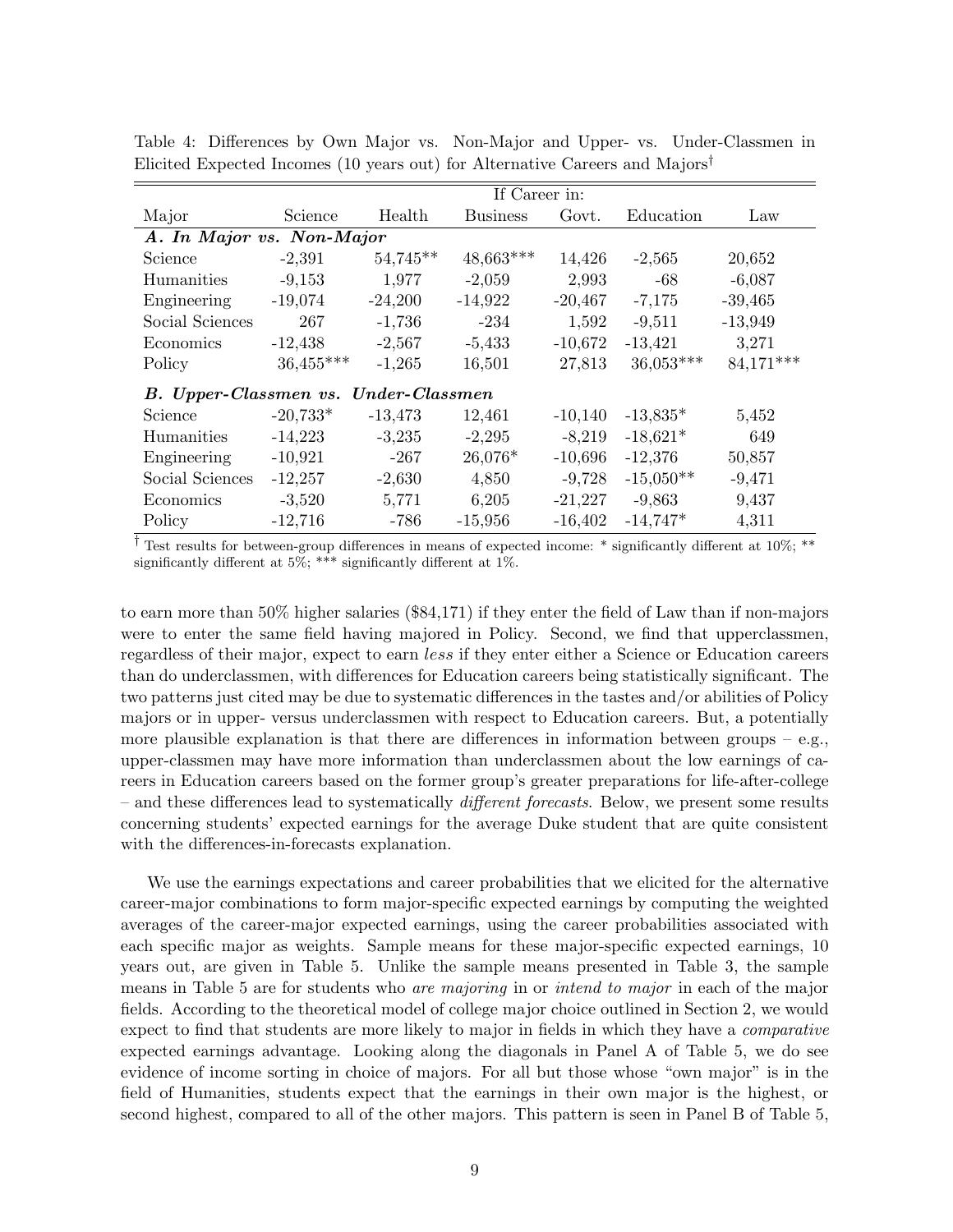|                              | If Career in: |                |                 |           |             |           |  |  |  |  |  |
|------------------------------|---------------|----------------|-----------------|-----------|-------------|-----------|--|--|--|--|--|
| Major                        | Science       | Health         | <b>Business</b> | Govt.     | Education   | Law       |  |  |  |  |  |
| A. In Major vs. Non-Major    |               |                |                 |           |             |           |  |  |  |  |  |
| Science                      | $-2,391$      | $54,745**$     | 48,663***       | 14,426    | $-2,565$    | 20,652    |  |  |  |  |  |
| <b>Humanities</b>            | $-9,153$      | 1,977          | $-2,059$        | 2,993     | -68         | $-6,087$  |  |  |  |  |  |
| Engineering                  | $-19,074$     | $-24,200$      | $-14,922$       | $-20,467$ | $-7,175$    | $-39,465$ |  |  |  |  |  |
| Social Sciences              | 267           | $-1,736$       | $-234$          | 1,592     | $-9,511$    | $-13,949$ |  |  |  |  |  |
| Economics                    | $-12,438$     | $-2,567$       | $-5,433$        | $-10,672$ | $-13,421$   | 3,271     |  |  |  |  |  |
| Policy                       | $36,455***$   | $-1,265$       | 16,501          | 27,813    | 36,053***   | 84,171*** |  |  |  |  |  |
| <b>B.</b> Upper-Classmen vs. |               | Under-Classmen |                 |           |             |           |  |  |  |  |  |
| Science                      | $-20,733*$    | $-13,473$      | 12,461          | $-10,140$ | $-13,835*$  | 5,452     |  |  |  |  |  |
| <b>Humanities</b>            | $-14,223$     | $-3,235$       | $-2,295$        | $-8,219$  | $-18,621*$  | 649       |  |  |  |  |  |
| Engineering                  | $-10,921$     | $-267$         | $26,076*$       | $-10,696$ | $-12,376$   | 50,857    |  |  |  |  |  |
| Social Sciences              | $-12,257$     | $-2,630$       | 4,850           | $-9,728$  | $-15,050**$ | $-9,471$  |  |  |  |  |  |
| Economics                    | $-3,520$      | 5,771          | 6,205           | $-21,227$ | $-9,863$    | 9,437     |  |  |  |  |  |
| Policy                       | $-12,716$     | -786           | $-15,956$       | $-16,402$ | $-14,747*$  | 4,311     |  |  |  |  |  |

Table 4: Differences by Own Major vs. Non-Major and Upper- vs. Under-Classmen in Elicited Expected Incomes (10 years out) for Alternative Careers and Majors†

<sup>†</sup> Test results for between-group differences in means of expected income: \* significantly different at 10%; \*\* significantly different at  $5\%$ ; \*\*\* significantly different at  $1\%$ .

to earn more than 50% higher salaries (\$84,171) if they enter the field of Law than if non-majors were to enter the same field having majored in Policy. Second, we find that upperclassmen, regardless of their major, expect to earn less if they enter either a Science or Education careers than do underclassmen, with differences for Education careers being statistically significant. The two patterns just cited may be due to systematic differences in the tastes and/or abilities of Policy majors or in upper- versus underclassmen with respect to Education careers. But, a potentially more plausible explanation is that there are differences in information between groups  $-e.g.,$ upper-classmen may have more information than underclassmen about the low earnings of careers in Education careers based on the former group's greater preparations for life-after-college – and these differences lead to systematically *different forecasts*. Below, we present some results concerning students' expected earnings for the average Duke student that are quite consistent with the differences-in-forecasts explanation.

We use the earnings expectations and career probabilities that we elicited for the alternative career-major combinations to form major-specific expected earnings by computing the weighted averages of the career-major expected earnings, using the career probabilities associated with each specific major as weights. Sample means for these major-specific expected earnings, 10 years out, are given in Table 5. Unlike the sample means presented in Table 3, the sample means in Table 5 are for students who are majoring in or intend to major in each of the major fields. According to the theoretical model of college major choice outlined in Section 2, we would expect to find that students are more likely to major in fields in which they have a *comparative* expected earnings advantage. Looking along the diagonals in Panel A of Table 5, we do see evidence of income sorting in choice of majors. For all but those whose "own major" is in the field of Humanities, students expect that the earnings in their own major is the highest, or second highest, compared to all of the other majors. This pattern is seen in Panel B of Table 5,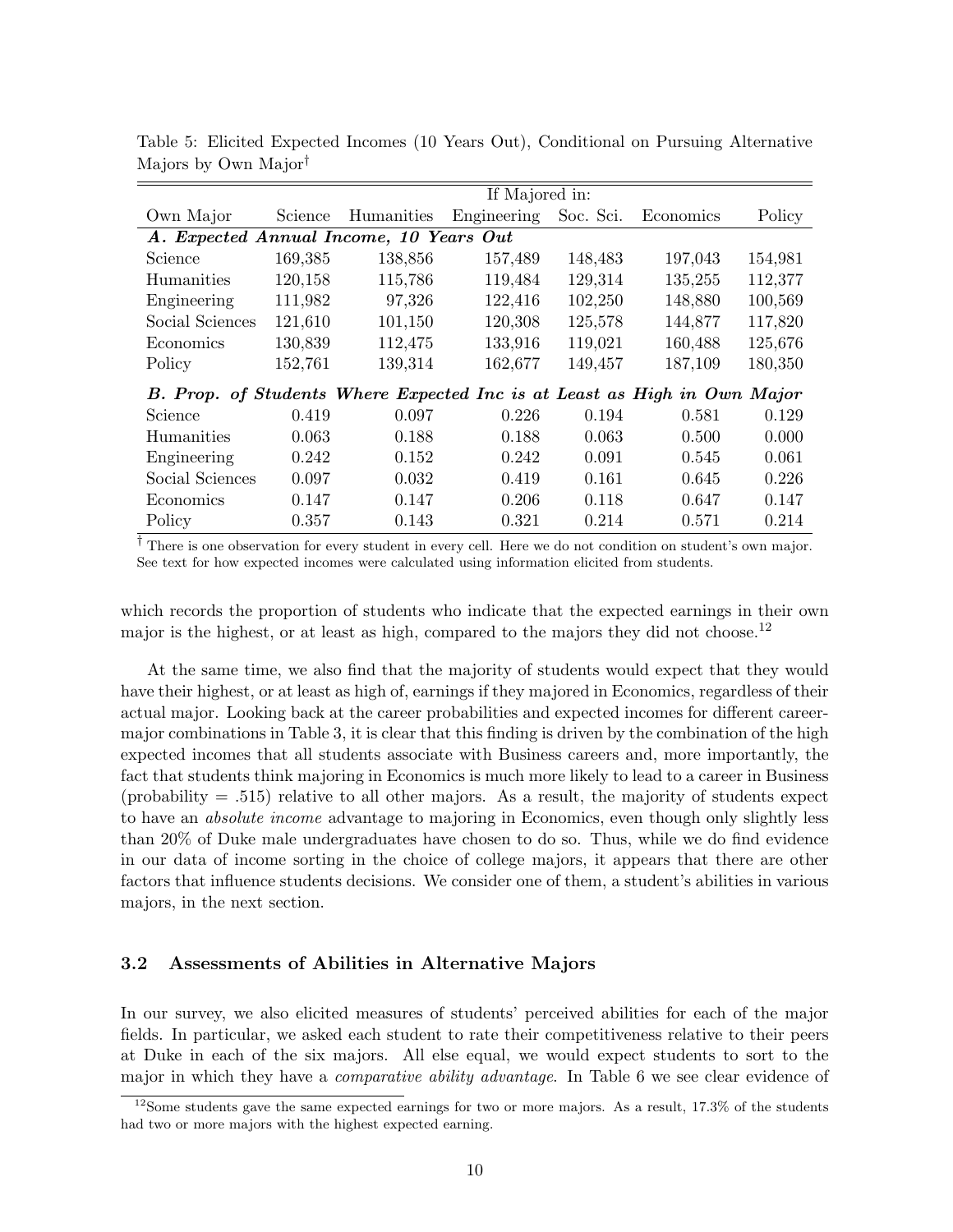|                                                                          | If Majored in: |            |             |           |           |         |  |  |  |
|--------------------------------------------------------------------------|----------------|------------|-------------|-----------|-----------|---------|--|--|--|
| Own Major                                                                | Science        | Humanities | Engineering | Soc. Sci. | Economics | Policy  |  |  |  |
| A. Expected Annual Income, 10 Years<br>Out                               |                |            |             |           |           |         |  |  |  |
| Science                                                                  | 169,385        | 138,856    | 157,489     | 148,483   | 197,043   | 154,981 |  |  |  |
| Humanities                                                               | 120,158        | 115,786    | 119,484     | 129,314   | 135,255   | 112,377 |  |  |  |
| Engineering                                                              | 111,982        | 97,326     | 122,416     | 102,250   | 148,880   | 100,569 |  |  |  |
| Social Sciences                                                          | 121,610        | 101,150    | 120,308     | 125,578   | 144,877   | 117,820 |  |  |  |
| Economics                                                                | 130,839        | 112,475    | 133,916     | 119,021   | 160,488   | 125,676 |  |  |  |
| Policy                                                                   | 152,761        | 139,314    | 162,677     | 149,457   | 187,109   | 180,350 |  |  |  |
| B. Prop. of Students Where Expected Inc is at Least as High in Own Major |                |            |             |           |           |         |  |  |  |
| Science                                                                  | 0.419          | 0.097      | 0.226       | 0.194     | 0.581     | 0.129   |  |  |  |
| Humanities                                                               | 0.063          | 0.188      | 0.188       | 0.063     | 0.500     | 0.000   |  |  |  |
| Engineering                                                              | 0.242          | 0.152      | 0.242       | 0.091     | 0.545     | 0.061   |  |  |  |
| Social Sciences                                                          | 0.097          | 0.032      | 0.419       | 0.161     | 0.645     | 0.226   |  |  |  |
| Economics                                                                | 0.147          | 0.147      | 0.206       | 0.118     | 0.647     | 0.147   |  |  |  |
| Policy                                                                   | 0.357          | 0.143      | 0.321       | 0.214     | 0.571     | 0.214   |  |  |  |

Table 5: Elicited Expected Incomes (10 Years Out), Conditional on Pursuing Alternative Majors by Own Major†

<sup>†</sup> There is one observation for every student in every cell. Here we do not condition on student's own major. See text for how expected incomes were calculated using information elicited from students.

which records the proportion of students who indicate that the expected earnings in their own major is the highest, or at least as high, compared to the majors they did not choose.<sup>12</sup>

At the same time, we also find that the majority of students would expect that they would have their highest, or at least as high of, earnings if they majored in Economics, regardless of their actual major. Looking back at the career probabilities and expected incomes for different careermajor combinations in Table 3, it is clear that this finding is driven by the combination of the high expected incomes that all students associate with Business careers and, more importantly, the fact that students think majoring in Economics is much more likely to lead to a career in Business (probability  $= .515$ ) relative to all other majors. As a result, the majority of students expect to have an *absolute income* advantage to majoring in Economics, even though only slightly less than 20% of Duke male undergraduates have chosen to do so. Thus, while we do find evidence in our data of income sorting in the choice of college majors, it appears that there are other factors that influence students decisions. We consider one of them, a student's abilities in various majors, in the next section.

#### 3.2 Assessments of Abilities in Alternative Majors

In our survey, we also elicited measures of students' perceived abilities for each of the major fields. In particular, we asked each student to rate their competitiveness relative to their peers at Duke in each of the six majors. All else equal, we would expect students to sort to the major in which they have a *comparative ability advantage*. In Table 6 we see clear evidence of

 $12$ Some students gave the same expected earnings for two or more majors. As a result, 17.3% of the students had two or more majors with the highest expected earning.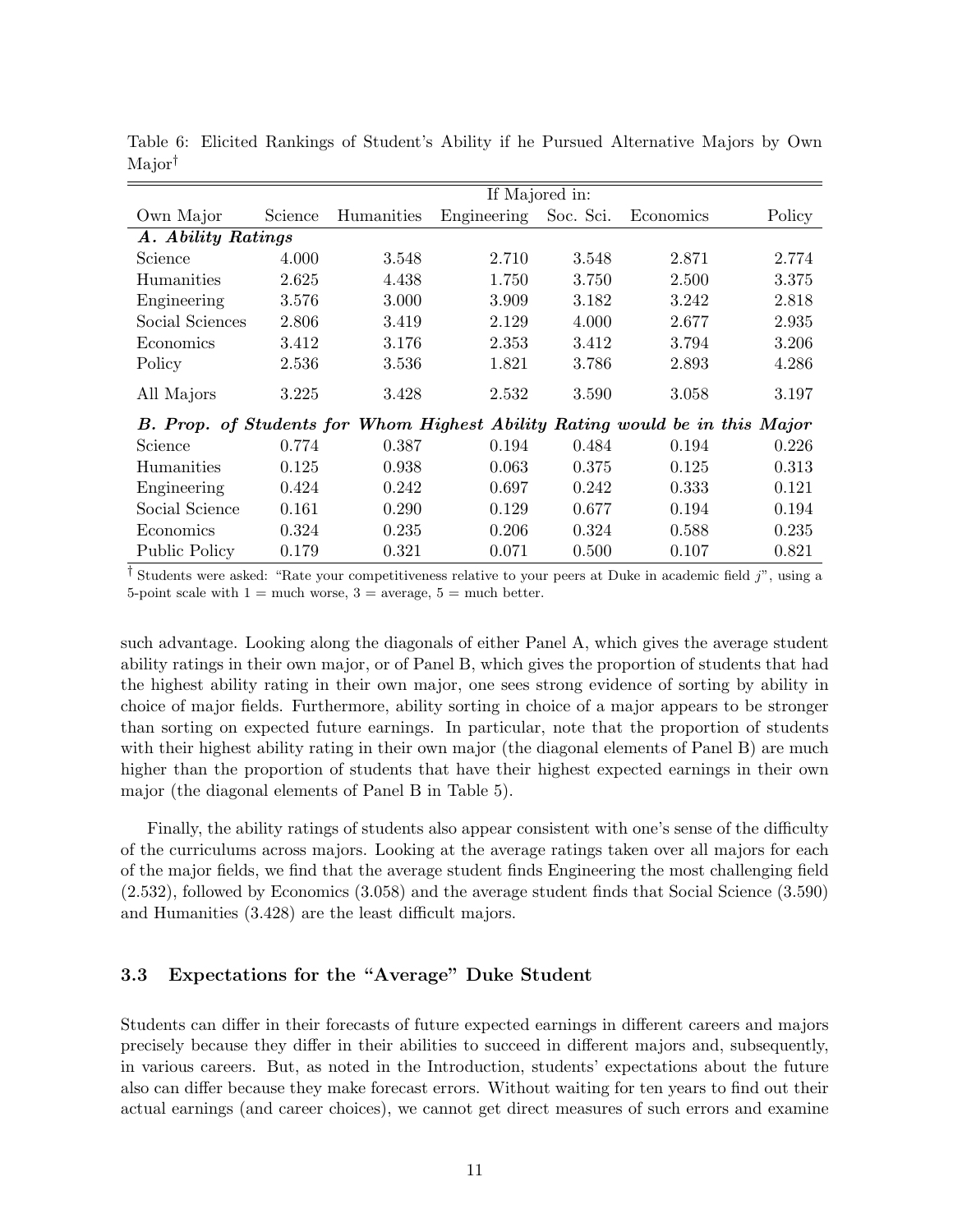|                    | If Majored in: |            |             |           |                                                                             |        |  |  |  |  |
|--------------------|----------------|------------|-------------|-----------|-----------------------------------------------------------------------------|--------|--|--|--|--|
| Own Major          | Science        | Humanities | Engineering | Soc. Sci. | Economics                                                                   | Policy |  |  |  |  |
| A. Ability Ratings |                |            |             |           |                                                                             |        |  |  |  |  |
| Science            | 4.000          | 3.548      | 2.710       | 3.548     | 2.871                                                                       | 2.774  |  |  |  |  |
| Humanities         | 2.625          | 4.438      | 1.750       | 3.750     | 2.500                                                                       | 3.375  |  |  |  |  |
| Engineering        | 3.576          | 3.000      | 3.909       | 3.182     | 3.242                                                                       | 2.818  |  |  |  |  |
| Social Sciences    | 2.806          | 3.419      | 2.129       | 4.000     | 2.677                                                                       | 2.935  |  |  |  |  |
| Economics          | 3.412          | 3.176      | 2.353       | 3.412     | 3.794                                                                       | 3.206  |  |  |  |  |
| Policy             | 2.536          | 3.536      | 1.821       | 3.786     | 2.893                                                                       | 4.286  |  |  |  |  |
| All Majors         | 3.225          | 3.428      | 2.532       | 3.590     | 3.058                                                                       | 3.197  |  |  |  |  |
|                    |                |            |             |           | B. Prop. of Students for Whom Highest Ability Rating would be in this Major |        |  |  |  |  |
| Science            | 0.774          | 0.387      | 0.194       | 0.484     | 0.194                                                                       | 0.226  |  |  |  |  |
| Humanities         | 0.125          | 0.938      | 0.063       | 0.375     | 0.125                                                                       | 0.313  |  |  |  |  |
| Engineering        | 0.424          | 0.242      | 0.697       | 0.242     | 0.333                                                                       | 0.121  |  |  |  |  |
| Social Science     | 0.161          | 0.290      | 0.129       | 0.677     | 0.194                                                                       | 0.194  |  |  |  |  |
| Economics          | 0.324          | 0.235      | 0.206       | 0.324     | 0.588                                                                       | 0.235  |  |  |  |  |
| Public Policy      | 0.179          | 0.321      | 0.071       | 0.500     | 0.107                                                                       | 0.821  |  |  |  |  |

Table 6: Elicited Rankings of Student's Ability if he Pursued Alternative Majors by Own Major†

<sup>†</sup> Students were asked: "Rate your competitiveness relative to your peers at Duke in academic field j", using a 5-point scale with  $1 =$  much worse,  $3 =$  average,  $5 =$  much better.

such advantage. Looking along the diagonals of either Panel A, which gives the average student ability ratings in their own major, or of Panel B, which gives the proportion of students that had the highest ability rating in their own major, one sees strong evidence of sorting by ability in choice of major fields. Furthermore, ability sorting in choice of a major appears to be stronger than sorting on expected future earnings. In particular, note that the proportion of students with their highest ability rating in their own major (the diagonal elements of Panel B) are much higher than the proportion of students that have their highest expected earnings in their own major (the diagonal elements of Panel B in Table 5).

Finally, the ability ratings of students also appear consistent with one's sense of the difficulty of the curriculums across majors. Looking at the average ratings taken over all majors for each of the major fields, we find that the average student finds Engineering the most challenging field (2.532), followed by Economics (3.058) and the average student finds that Social Science (3.590) and Humanities (3.428) are the least difficult majors.

### 3.3 Expectations for the "Average" Duke Student

Students can differ in their forecasts of future expected earnings in different careers and majors precisely because they differ in their abilities to succeed in different majors and, subsequently, in various careers. But, as noted in the Introduction, students' expectations about the future also can differ because they make forecast errors. Without waiting for ten years to find out their actual earnings (and career choices), we cannot get direct measures of such errors and examine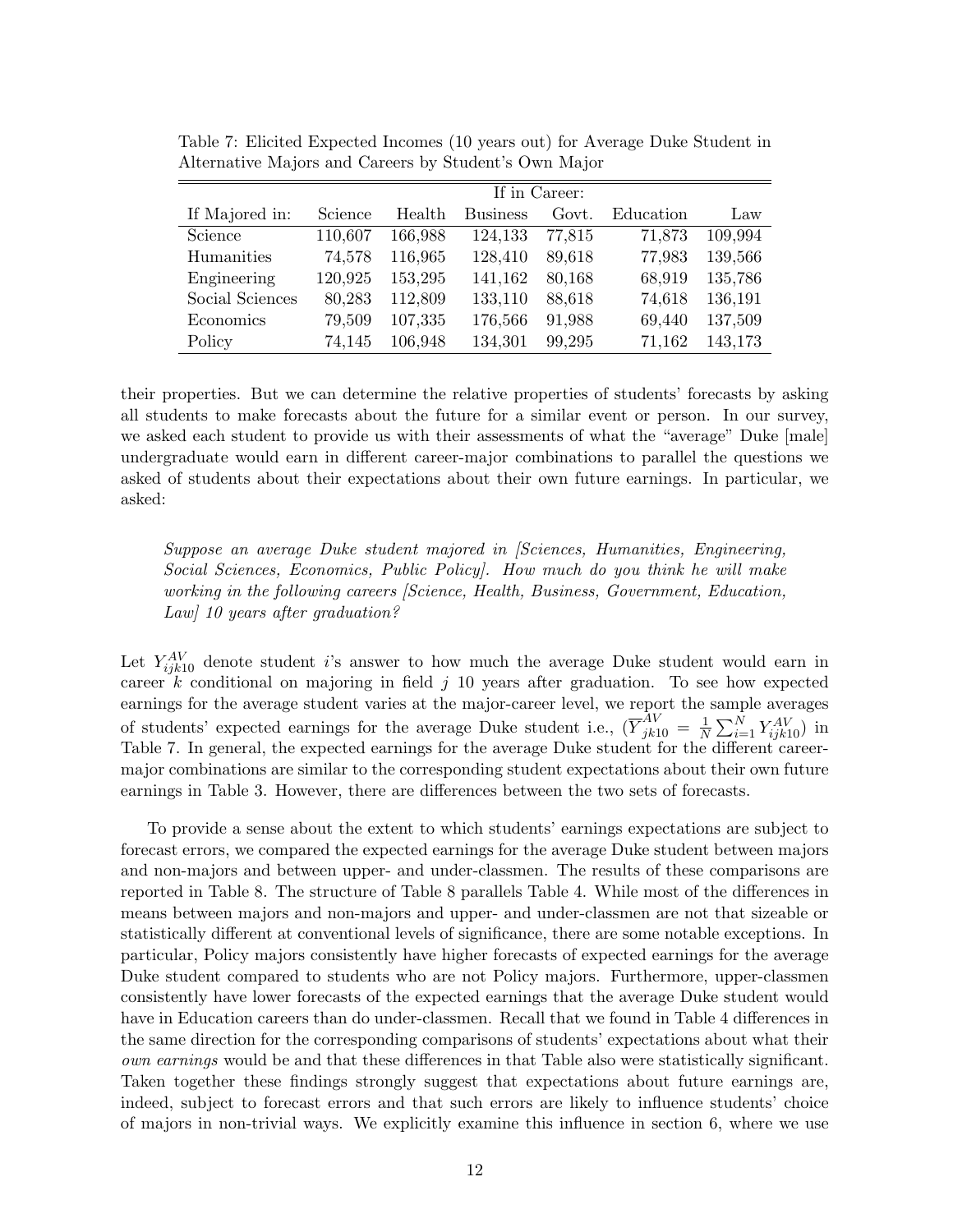|                 | If in Career: |         |                 |        |           |         |  |  |  |
|-----------------|---------------|---------|-----------------|--------|-----------|---------|--|--|--|
| If Majored in:  | Science       | Health  | <b>Business</b> | Govt.  | Education | Law     |  |  |  |
| Science         | 110,607       | 166,988 | 124,133         | 77,815 | 71,873    | 109,994 |  |  |  |
| Humanities      | 74,578        | 116,965 | 128,410         | 89,618 | 77,983    | 139,566 |  |  |  |
| Engineering     | 120,925       | 153,295 | 141,162         | 80.168 | 68,919    | 135,786 |  |  |  |
| Social Sciences | 80,283        | 112,809 | 133,110         | 88,618 | 74,618    | 136,191 |  |  |  |
| Economics       | 79,509        | 107,335 | 176,566         | 91,988 | 69,440    | 137,509 |  |  |  |
| Policy          | 74,145        | 106,948 | 134,301         | 99,295 | 71,162    | 143,173 |  |  |  |

Table 7: Elicited Expected Incomes (10 years out) for Average Duke Student in Alternative Majors and Careers by Student's Own Major

their properties. But we can determine the relative properties of students' forecasts by asking all students to make forecasts about the future for a similar event or person. In our survey, we asked each student to provide us with their assessments of what the "average" Duke [male] undergraduate would earn in different career-major combinations to parallel the questions we asked of students about their expectations about their own future earnings. In particular, we asked:

Suppose an average Duke student majored in [Sciences, Humanities, Engineering, Social Sciences, Economics, Public Policy]. How much do you think he will make working in the following careers [Science, Health, Business, Government, Education, Law] 10 years after graduation?

Let  $Y_{ijk10}^{AV}$  denote student is answer to how much the average Duke student would earn in career k conditional on majoring in field  $j$  10 years after graduation. To see how expected earnings for the average student varies at the major-career level, we report the sample averages of students' expected earnings for the average Duke student i.e.,  $(\overline{Y}_{jk10}^{AV} = \frac{1}{N})$  $\frac{1}{N} \sum_{i=1}^{N} Y_{ijk10}^{AV}$ ) in Table 7. In general, the expected earnings for the average Duke student for the different careermajor combinations are similar to the corresponding student expectations about their own future earnings in Table 3. However, there are differences between the two sets of forecasts.

To provide a sense about the extent to which students' earnings expectations are subject to forecast errors, we compared the expected earnings for the average Duke student between majors and non-majors and between upper- and under-classmen. The results of these comparisons are reported in Table 8. The structure of Table 8 parallels Table 4. While most of the differences in means between majors and non-majors and upper- and under-classmen are not that sizeable or statistically different at conventional levels of significance, there are some notable exceptions. In particular, Policy majors consistently have higher forecasts of expected earnings for the average Duke student compared to students who are not Policy majors. Furthermore, upper-classmen consistently have lower forecasts of the expected earnings that the average Duke student would have in Education careers than do under-classmen. Recall that we found in Table 4 differences in the same direction for the corresponding comparisons of students' expectations about what their own earnings would be and that these differences in that Table also were statistically significant. Taken together these findings strongly suggest that expectations about future earnings are, indeed, subject to forecast errors and that such errors are likely to influence students' choice of majors in non-trivial ways. We explicitly examine this influence in section 6, where we use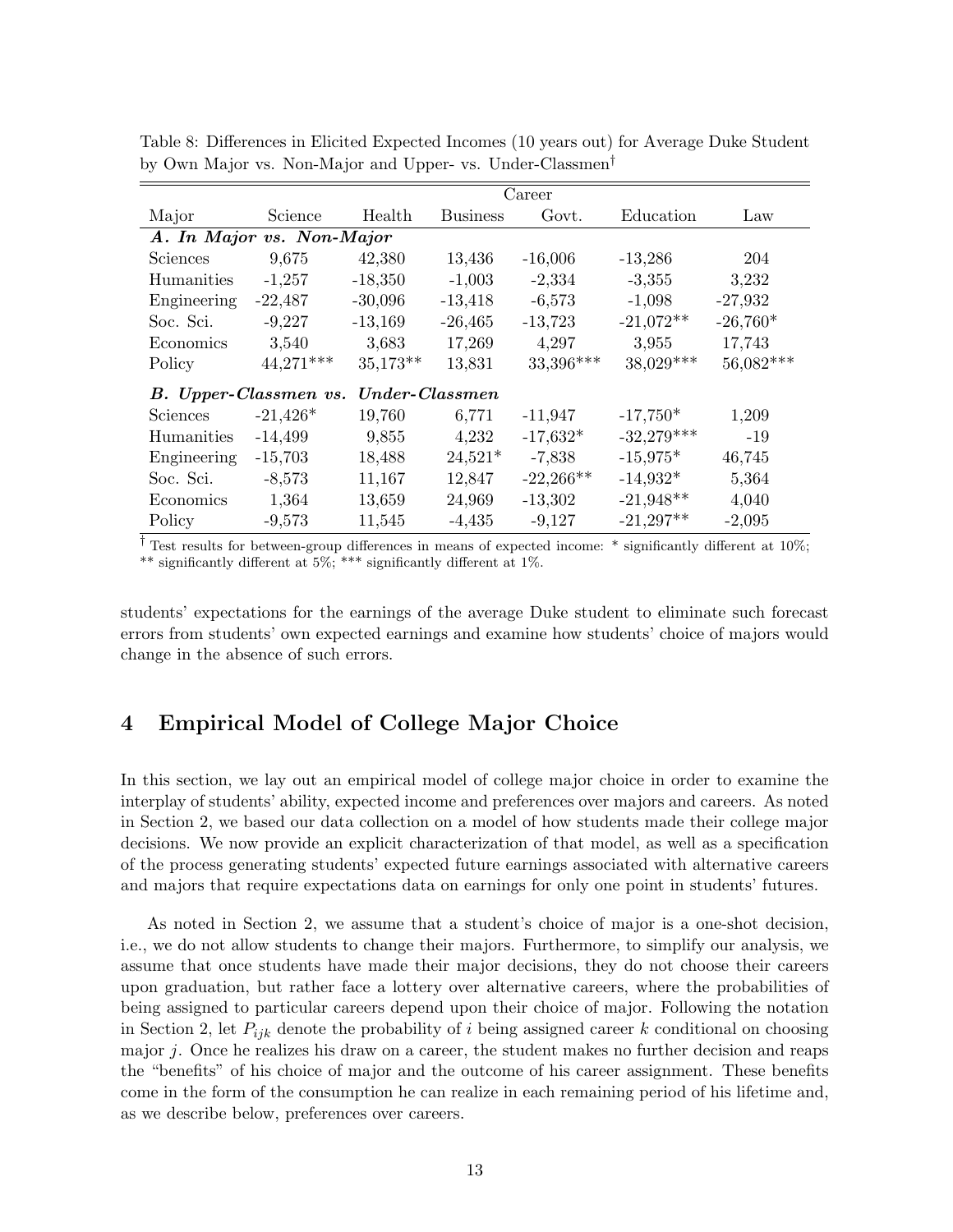|                              | Career     |                  |                 |             |              |            |  |  |  |  |  |
|------------------------------|------------|------------------|-----------------|-------------|--------------|------------|--|--|--|--|--|
| Major                        | Science    | Health           | <b>Business</b> | Govt.       | Education    | Law        |  |  |  |  |  |
| A. In Major vs. Non-Major    |            |                  |                 |             |              |            |  |  |  |  |  |
| Sciences                     | 9,675      | 42,380           | 13,436          | $-16,006$   | $-13,286$    | 204        |  |  |  |  |  |
| Humanities                   | $-1,257$   | $-18,350$        | $-1,003$        | $-2,334$    | $-3,355$     | 3,232      |  |  |  |  |  |
| Engineering                  | $-22,487$  | $-30,096$        | $-13,418$       | $-6,573$    | $-1,098$     | $-27,932$  |  |  |  |  |  |
| Soc. Sci.                    | $-9,227$   | $-13,169$        | $-26,465$       | $-13,723$   | $-21,072**$  | $-26,760*$ |  |  |  |  |  |
| Economics                    | 3,540      | 3,683            | 17,269          | 4,297       | 3,955        | 17,743     |  |  |  |  |  |
| Policy                       | 44,271***  | $35,173**$       | 13,831          | 33,396***   | 38,029***    | 56,082***  |  |  |  |  |  |
| <b>B.</b> Upper-Classmen vs. |            | $Under-Classmen$ |                 |             |              |            |  |  |  |  |  |
| Sciences                     | $-21,426*$ | 19,760           | 6,771           | $-11,947$   | $-17,750*$   | 1,209      |  |  |  |  |  |
| Humanities                   | $-14,499$  | 9,855            | 4,232           | $-17,632*$  | $-32,279***$ | $-19$      |  |  |  |  |  |
| Engineering                  | $-15,703$  | 18,488           | $24,521*$       | $-7,838$    | $-15,975*$   | 46,745     |  |  |  |  |  |
| Soc. Sci.                    | $-8,573$   | 11,167           | 12,847          | $-22,266**$ | $-14.932*$   | 5,364      |  |  |  |  |  |
| Economics                    | 1,364      | 13,659           | 24,969          | $-13,302$   | $-21,948**$  | 4,040      |  |  |  |  |  |
| Policy                       | $-9,573$   | 11,545           | $-4,435$        | $-9,127$    | $-21,297**$  | $-2,095$   |  |  |  |  |  |

Table 8: Differences in Elicited Expected Incomes (10 years out) for Average Duke Student by Own Major vs. Non-Major and Upper- vs. Under-Classmen†

† Test results for between-group differences in means of expected income: \* significantly different at 10%; \*\* significantly different at 5%; \*\*\* significantly different at 1%.

students' expectations for the earnings of the average Duke student to eliminate such forecast errors from students' own expected earnings and examine how students' choice of majors would change in the absence of such errors.

# 4 Empirical Model of College Major Choice

In this section, we lay out an empirical model of college major choice in order to examine the interplay of students' ability, expected income and preferences over majors and careers. As noted in Section 2, we based our data collection on a model of how students made their college major decisions. We now provide an explicit characterization of that model, as well as a specification of the process generating students' expected future earnings associated with alternative careers and majors that require expectations data on earnings for only one point in students' futures.

As noted in Section 2, we assume that a student's choice of major is a one-shot decision, i.e., we do not allow students to change their majors. Furthermore, to simplify our analysis, we assume that once students have made their major decisions, they do not choose their careers upon graduation, but rather face a lottery over alternative careers, where the probabilities of being assigned to particular careers depend upon their choice of major. Following the notation in Section 2, let  $P_{ijk}$  denote the probability of i being assigned career k conditional on choosing major  $j$ . Once he realizes his draw on a career, the student makes no further decision and reaps the "benefits" of his choice of major and the outcome of his career assignment. These benefits come in the form of the consumption he can realize in each remaining period of his lifetime and, as we describe below, preferences over careers.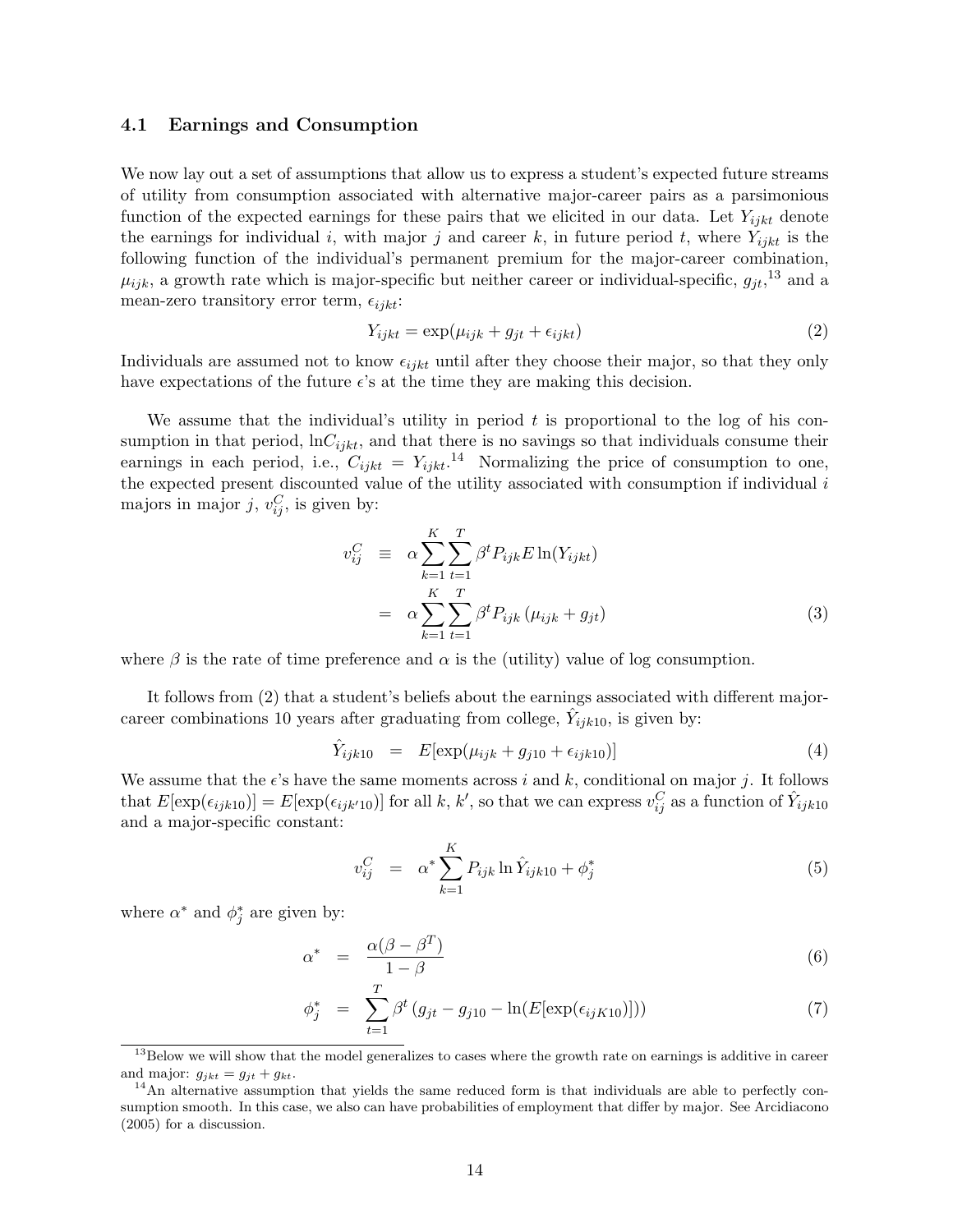#### 4.1 Earnings and Consumption

We now lay out a set of assumptions that allow us to express a student's expected future streams of utility from consumption associated with alternative major-career pairs as a parsimonious function of the expected earnings for these pairs that we elicited in our data. Let  $Y_{i\hat{i}k\hat{t}}$  denote the earnings for individual i, with major j and career k, in future period t, where  $Y_{ijkt}$  is the following function of the individual's permanent premium for the major-career combination,  $\mu_{ijk}$ , a growth rate which is major-specific but neither career or individual-specific,  $g_{jt}$ <sup>13</sup> and a mean-zero transitory error term,  $\epsilon_{i j k t}$ :

$$
Y_{ijkt} = \exp(\mu_{ijk} + g_{jt} + \epsilon_{ijkt})
$$
\n(2)

Individuals are assumed not to know  $\epsilon_{i j k t}$  until after they choose their major, so that they only have expectations of the future  $\epsilon$ 's at the time they are making this decision.

We assume that the individual's utility in period  $t$  is proportional to the log of his consumption in that period,  $\ln C_{ijkt}$ , and that there is no savings so that individuals consume their earnings in each period, i.e.,  $C_{ijkt} = Y_{ijkt}$ <sup>14</sup> Normalizing the price of consumption to one, the expected present discounted value of the utility associated with consumption if individual  $i$ majors in major j,  $v_{ij}^C$ , is given by:

$$
v_{ij}^C \equiv \alpha \sum_{k=1}^K \sum_{t=1}^T \beta^t P_{ijk} E \ln(Y_{ijkt})
$$
  

$$
= \alpha \sum_{k=1}^K \sum_{t=1}^T \beta^t P_{ijk} (\mu_{ijk} + g_{jt})
$$
 (3)

where  $\beta$  is the rate of time preference and  $\alpha$  is the (utility) value of log consumption.

It follows from (2) that a student's beliefs about the earnings associated with different majorcareer combinations 10 years after graduating from college,  $\hat{Y}_{ijk10}$ , is given by:

$$
\hat{Y}_{ijkl0} = E[\exp(\mu_{ijk} + g_{j10} + \epsilon_{ijk10})]
$$
\n(4)

We assume that the  $\epsilon$ 's have the same moments across i and k, conditional on major j. It follows that  $E[\exp(\epsilon_{ijk10})] = E[\exp(\epsilon_{ijk'10})]$  for all k, k', so that we can express  $v_{ij}^C$  as a function of  $\hat{Y}_{ijk10}$ and a major-specific constant:

$$
v_{ij}^C = \alpha^* \sum_{k=1}^K P_{ijk} \ln \hat{Y}_{ijk10} + \phi_j^* \tag{5}
$$

where  $\alpha^*$  and  $\phi_j^*$  are given by:

$$
\alpha^* = \frac{\alpha(\beta - \beta^T)}{1 - \beta} \tag{6}
$$

$$
\phi_j^* = \sum_{t=1}^T \beta^t \left( g_{jt} - g_{j10} - \ln(E[\exp(\epsilon_{ijK10})]) \right) \tag{7}
$$

 $13$ Below we will show that the model generalizes to cases where the growth rate on earnings is additive in career and major:  $g_{ikt} = g_{jt} + g_{kt}$ .

 $14$ An alternative assumption that yields the same reduced form is that individuals are able to perfectly consumption smooth. In this case, we also can have probabilities of employment that differ by major. See Arcidiacono (2005) for a discussion.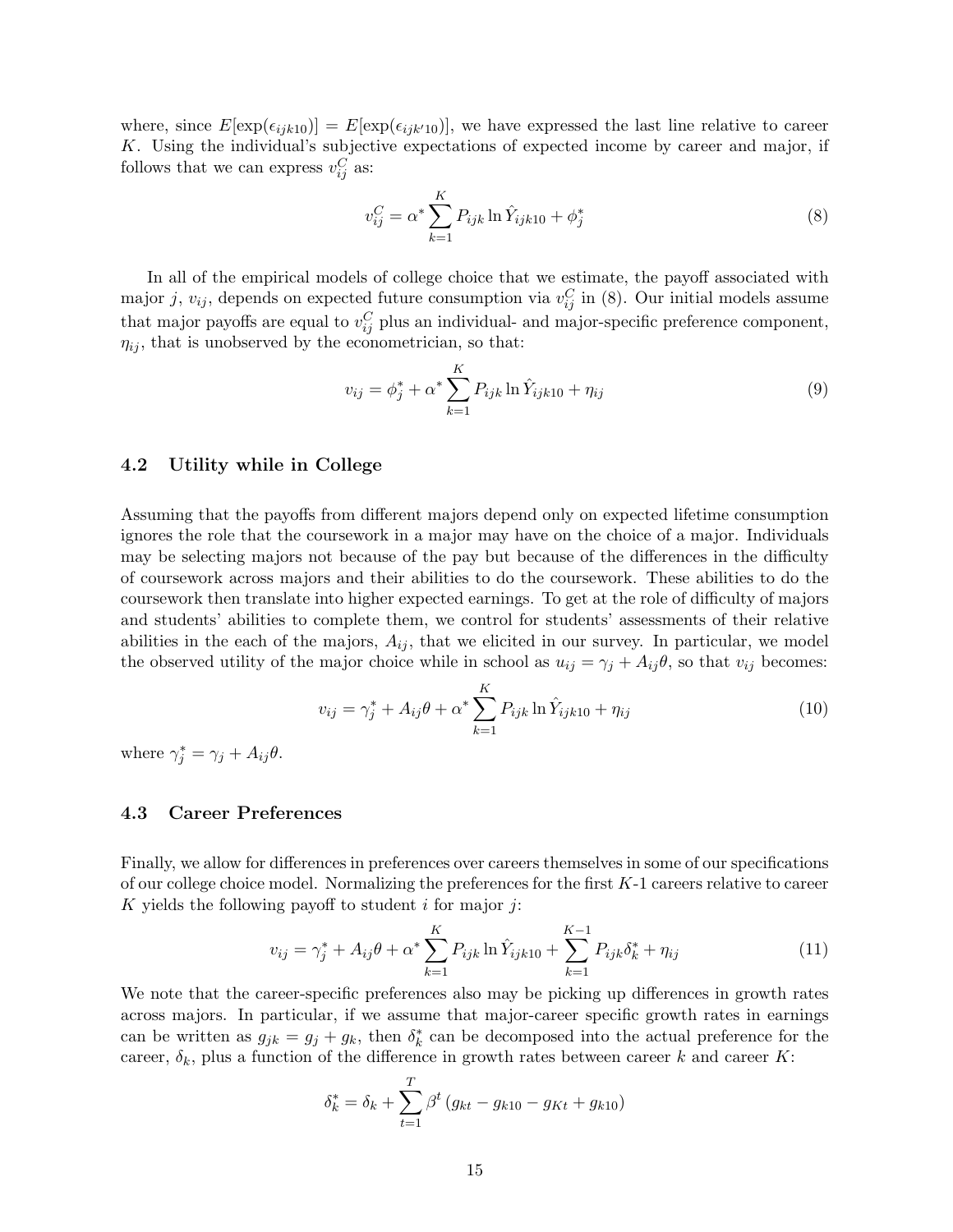where, since  $E[\exp(\epsilon_{ijk10})] = E[\exp(\epsilon_{ijk'10})]$ , we have expressed the last line relative to career K. Using the individual's subjective expectations of expected income by career and major, if follows that we can express  $v_{ij}^C$  as:

$$
v_{ij}^C = \alpha^* \sum_{k=1}^K P_{ijk} \ln \hat{Y}_{ijk10} + \phi_j^*
$$
 (8)

In all of the empirical models of college choice that we estimate, the payoff associated with major j,  $v_{ij}$ , depends on expected future consumption via  $v_{ij}^C$  in (8). Our initial models assume that major payoffs are equal to  $v_{ij}^C$  plus an individual- and major-specific preference component,  $\eta_{ij}$ , that is unobserved by the econometrician, so that:

$$
v_{ij} = \phi_j^* + \alpha^* \sum_{k=1}^{K} P_{ijk} \ln \hat{Y}_{ijk10} + \eta_{ij}
$$
 (9)

#### 4.2 Utility while in College

Assuming that the payoffs from different majors depend only on expected lifetime consumption ignores the role that the coursework in a major may have on the choice of a major. Individuals may be selecting majors not because of the pay but because of the differences in the difficulty of coursework across majors and their abilities to do the coursework. These abilities to do the coursework then translate into higher expected earnings. To get at the role of difficulty of majors and students' abilities to complete them, we control for students' assessments of their relative abilities in the each of the majors,  $A_{ij}$ , that we elicited in our survey. In particular, we model the observed utility of the major choice while in school as  $u_{ij} = \gamma_j + A_{ij}\theta$ , so that  $v_{ij}$  becomes:

$$
v_{ij} = \gamma_j^* + A_{ij}\theta + \alpha^* \sum_{k=1}^{K} P_{ijk} \ln \hat{Y}_{ijk10} + \eta_{ij}
$$
 (10)

where  $\gamma_j^* = \gamma_j + A_{ij}\theta$ .

### 4.3 Career Preferences

Finally, we allow for differences in preferences over careers themselves in some of our specifications of our college choice model. Normalizing the preferences for the first  $K-1$  careers relative to career K yields the following payoff to student  $i$  for major  $j$ :

$$
v_{ij} = \gamma_j^* + A_{ij}\theta + \alpha^* \sum_{k=1}^K P_{ijk} \ln \hat{Y}_{ijk10} + \sum_{k=1}^{K-1} P_{ijk}\delta_k^* + \eta_{ij}
$$
(11)

We note that the career-specific preferences also may be picking up differences in growth rates across majors. In particular, if we assume that major-career specific growth rates in earnings can be written as  $g_{jk} = g_j + g_k$ , then  $\delta^*_k$  can be decomposed into the actual preference for the career,  $\delta_k$ , plus a function of the difference in growth rates between career k and career K:

$$
\delta_k^* = \delta_k + \sum_{t=1}^T \beta^t (g_{kt} - g_{k10} - g_{Kt} + g_{k10})
$$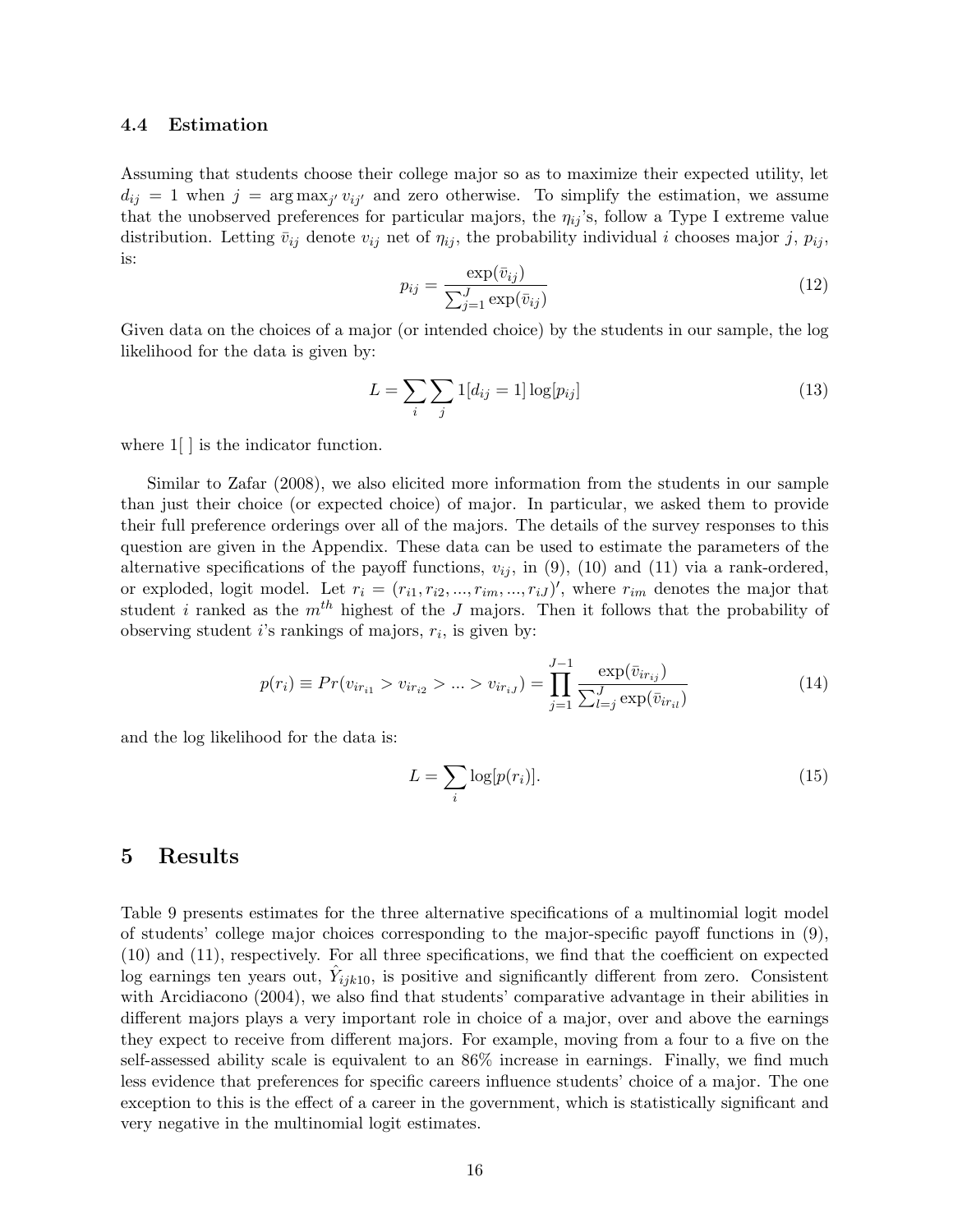#### 4.4 Estimation

Assuming that students choose their college major so as to maximize their expected utility, let  $d_{ij} = 1$  when  $j = \arg \max_{j'} v_{ij'}$  and zero otherwise. To simplify the estimation, we assume that the unobserved preferences for particular majors, the  $\eta_{ij}$ 's, follow a Type I extreme value distribution. Letting  $\bar{v}_{ij}$  denote  $v_{ij}$  net of  $\eta_{ij}$ , the probability individual i chooses major j,  $p_{ij}$ , is:

$$
p_{ij} = \frac{\exp(\bar{v}_{ij})}{\sum_{j=1}^{J} \exp(\bar{v}_{ij})}
$$
(12)

Given data on the choices of a major (or intended choice) by the students in our sample, the log likelihood for the data is given by:

$$
L = \sum_{i} \sum_{j} 1[d_{ij} = 1] \log[p_{ij}]
$$
\n(13)

where  $1$ [] is the indicator function.

Similar to Zafar (2008), we also elicited more information from the students in our sample than just their choice (or expected choice) of major. In particular, we asked them to provide their full preference orderings over all of the majors. The details of the survey responses to this question are given in the Appendix. These data can be used to estimate the parameters of the alternative specifications of the payoff functions,  $v_{ij}$ , in (9), (10) and (11) via a rank-ordered, or exploded, logit model. Let  $r_i = (r_{i1}, r_{i2}, ..., r_{im}, ..., r_{iJ})'$ , where  $r_{im}$  denotes the major that student i ranked as the  $m<sup>th</sup>$  highest of the J majors. Then it follows that the probability of observing student *i*'s rankings of majors,  $r_i$ , is given by:

$$
p(r_i) \equiv Pr(v_{ir_{i1}} > v_{ir_{i2}} > ... > v_{ir_{iJ}}) = \prod_{j=1}^{J-1} \frac{\exp(\bar{v}_{ir_{ij}})}{\sum_{l=j}^{J} \exp(\bar{v}_{ir_{il}})}
$$
(14)

and the log likelihood for the data is:

$$
L = \sum_{i} \log[p(r_i)]. \tag{15}
$$

### 5 Results

Table 9 presents estimates for the three alternative specifications of a multinomial logit model of students' college major choices corresponding to the major-specific payoff functions in (9), (10) and (11), respectively. For all three specifications, we find that the coefficient on expected log earnings ten years out,  $\hat{Y}_{ijk10}$ , is positive and significantly different from zero. Consistent with Arcidiacono (2004), we also find that students' comparative advantage in their abilities in different majors plays a very important role in choice of a major, over and above the earnings they expect to receive from different majors. For example, moving from a four to a five on the self-assessed ability scale is equivalent to an 86% increase in earnings. Finally, we find much less evidence that preferences for specific careers influence students' choice of a major. The one exception to this is the effect of a career in the government, which is statistically significant and very negative in the multinomial logit estimates.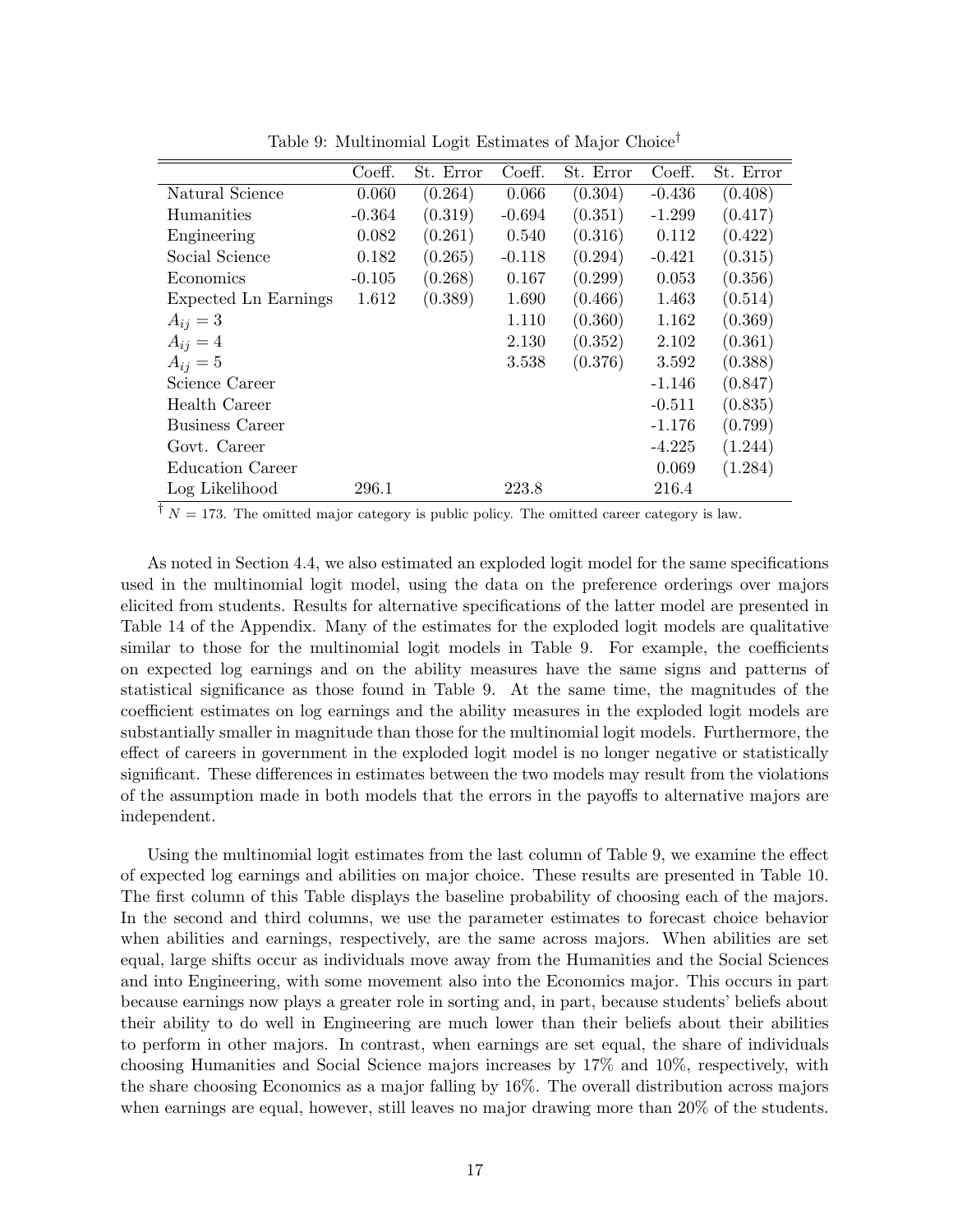|                        | Coeff.   | St. Error | Coeff.   | St. Error | Coeff.   | St. Error |
|------------------------|----------|-----------|----------|-----------|----------|-----------|
| Natural Science        | 0.060    | (0.264)   | 0.066    | (0.304)   | $-0.436$ | (0.408)   |
| Humanities             | $-0.364$ | (0.319)   | $-0.694$ | (0.351)   | $-1.299$ | (0.417)   |
| Engineering            | 0.082    | (0.261)   | 0.540    | (0.316)   | 0.112    | (0.422)   |
| Social Science         | 0.182    | (0.265)   | $-0.118$ | (0.294)   | $-0.421$ | (0.315)   |
| Economics              | $-0.105$ | (0.268)   | 0.167    | (0.299)   | 0.053    | (0.356)   |
| Expected Ln Earnings   | 1.612    | (0.389)   | 1.690    | (0.466)   | 1.463    | (0.514)   |
| $A_{ij}=3$             |          |           | 1.110    | (0.360)   | 1.162    | (0.369)   |
| $A_{ij}=4$             |          |           | 2.130    | (0.352)   | 2.102    | (0.361)   |
| $A_{ij}=5$             |          |           | 3.538    | (0.376)   | 3.592    | (0.388)   |
| Science Career         |          |           |          |           | $-1.146$ | (0.847)   |
| Health Career          |          |           |          |           | $-0.511$ | (0.835)   |
| <b>Business Career</b> |          |           |          |           | $-1.176$ | (0.799)   |
| Govt. Career           |          |           |          |           | $-4.225$ | (1.244)   |
| Education Career       |          |           |          |           | 0.069    | (1.284)   |
| Log Likelihood         | 296.1    |           | 223.8    |           | 216.4    |           |

Table 9: Multinomial Logit Estimates of Major Choice†

 $\uparrow N = 173$ . The omitted major category is public policy. The omitted career category is law.

As noted in Section 4.4, we also estimated an exploded logit model for the same specifications used in the multinomial logit model, using the data on the preference orderings over majors elicited from students. Results for alternative specifications of the latter model are presented in Table 14 of the Appendix. Many of the estimates for the exploded logit models are qualitative similar to those for the multinomial logit models in Table 9. For example, the coefficients on expected log earnings and on the ability measures have the same signs and patterns of statistical significance as those found in Table 9. At the same time, the magnitudes of the coefficient estimates on log earnings and the ability measures in the exploded logit models are substantially smaller in magnitude than those for the multinomial logit models. Furthermore, the effect of careers in government in the exploded logit model is no longer negative or statistically significant. These differences in estimates between the two models may result from the violations of the assumption made in both models that the errors in the payoffs to alternative majors are independent.

Using the multinomial logit estimates from the last column of Table 9, we examine the effect of expected log earnings and abilities on major choice. These results are presented in Table 10. The first column of this Table displays the baseline probability of choosing each of the majors. In the second and third columns, we use the parameter estimates to forecast choice behavior when abilities and earnings, respectively, are the same across majors. When abilities are set equal, large shifts occur as individuals move away from the Humanities and the Social Sciences and into Engineering, with some movement also into the Economics major. This occurs in part because earnings now plays a greater role in sorting and, in part, because students' beliefs about their ability to do well in Engineering are much lower than their beliefs about their abilities to perform in other majors. In contrast, when earnings are set equal, the share of individuals choosing Humanities and Social Science majors increases by 17% and 10%, respectively, with the share choosing Economics as a major falling by 16%. The overall distribution across majors when earnings are equal, however, still leaves no major drawing more than 20% of the students.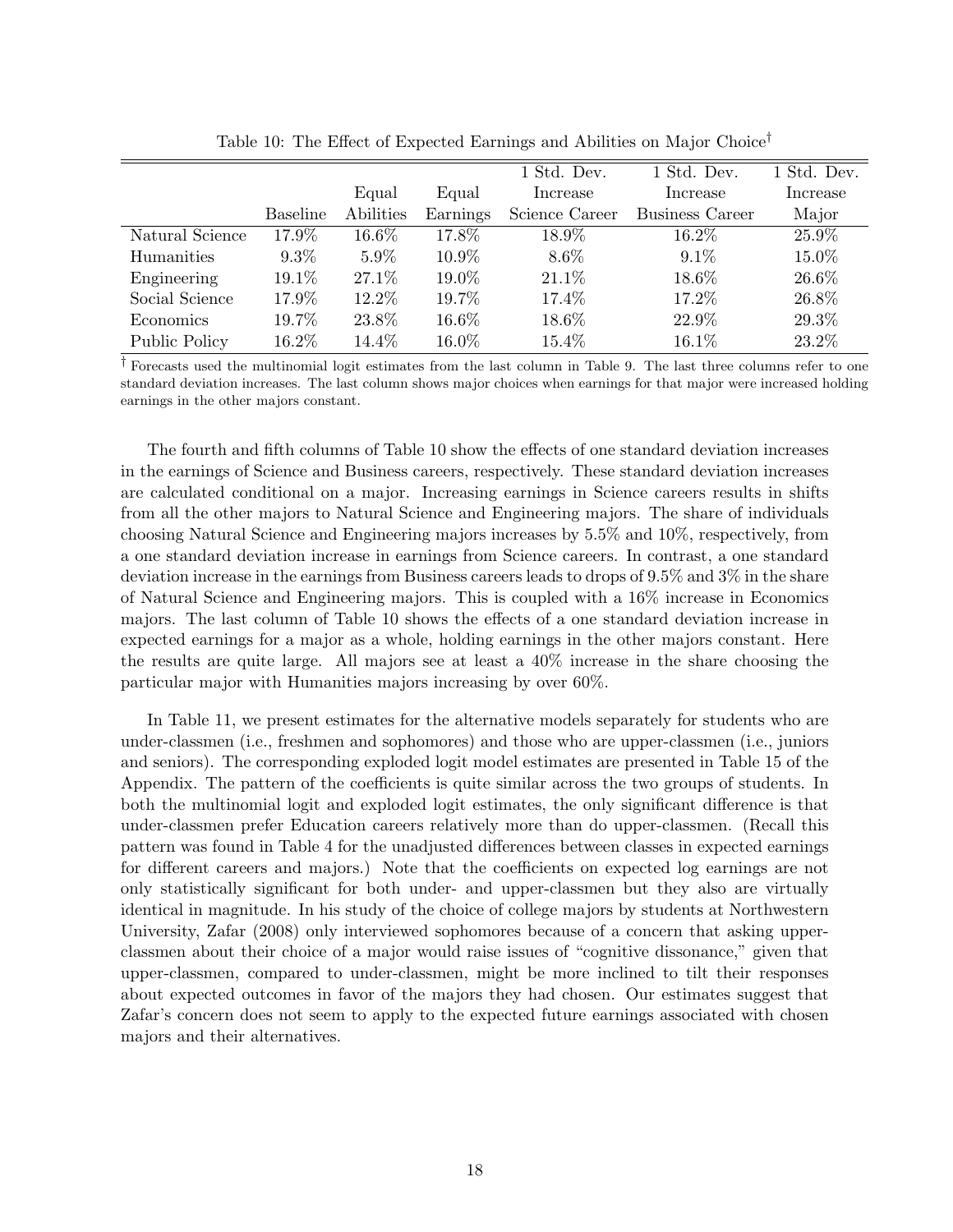|                 |                 |           |          | 1 Std. Dev.    | 1 Std. Dev.            | 1 Std. Dev. |
|-----------------|-----------------|-----------|----------|----------------|------------------------|-------------|
|                 |                 | Equal     | Equal    | Increase       | Increase               | Increase    |
|                 | <b>Baseline</b> | Abilities | Earnings | Science Career | <b>Business Career</b> | Major       |
| Natural Science | 17.9%           | 16.6%     | 17.8%    | 18.9%          | 16.2%                  | 25.9%       |
| Humanities      | $9.3\%$         | 5.9%      | 10.9%    | $8.6\%$        | $9.1\%$                | 15.0%       |
| Engineering     | 19.1%           | 27.1\%    | 19.0%    | 21.1\%         | 18.6%                  | 26.6%       |
| Social Science  | 17.9%           | 12.2\%    | 19.7%    | 17.4%          | 17.2%                  | 26.8%       |
| Economics       | 19.7%           | 23.8%     | 16.6%    | 18.6%          | 22.9%                  | 29.3%       |
| Public Policy   | 16.2%           | 14.4%     | 16.0%    | 15.4%          | 16.1%                  | 23.2%       |

Table 10: The Effect of Expected Earnings and Abilities on Major Choice†

† Forecasts used the multinomial logit estimates from the last column in Table 9. The last three columns refer to one standard deviation increases. The last column shows major choices when earnings for that major were increased holding earnings in the other majors constant.

The fourth and fifth columns of Table 10 show the effects of one standard deviation increases in the earnings of Science and Business careers, respectively. These standard deviation increases are calculated conditional on a major. Increasing earnings in Science careers results in shifts from all the other majors to Natural Science and Engineering majors. The share of individuals choosing Natural Science and Engineering majors increases by 5.5% and 10%, respectively, from a one standard deviation increase in earnings from Science careers. In contrast, a one standard deviation increase in the earnings from Business careers leads to drops of 9.5% and 3% in the share of Natural Science and Engineering majors. This is coupled with a 16% increase in Economics majors. The last column of Table 10 shows the effects of a one standard deviation increase in expected earnings for a major as a whole, holding earnings in the other majors constant. Here the results are quite large. All majors see at least a 40% increase in the share choosing the particular major with Humanities majors increasing by over 60%.

In Table 11, we present estimates for the alternative models separately for students who are under-classmen (i.e., freshmen and sophomores) and those who are upper-classmen (i.e., juniors and seniors). The corresponding exploded logit model estimates are presented in Table 15 of the Appendix. The pattern of the coefficients is quite similar across the two groups of students. In both the multinomial logit and exploded logit estimates, the only significant difference is that under-classmen prefer Education careers relatively more than do upper-classmen. (Recall this pattern was found in Table 4 for the unadjusted differences between classes in expected earnings for different careers and majors.) Note that the coefficients on expected log earnings are not only statistically significant for both under- and upper-classmen but they also are virtually identical in magnitude. In his study of the choice of college majors by students at Northwestern University, Zafar (2008) only interviewed sophomores because of a concern that asking upperclassmen about their choice of a major would raise issues of "cognitive dissonance," given that upper-classmen, compared to under-classmen, might be more inclined to tilt their responses about expected outcomes in favor of the majors they had chosen. Our estimates suggest that Zafar's concern does not seem to apply to the expected future earnings associated with chosen majors and their alternatives.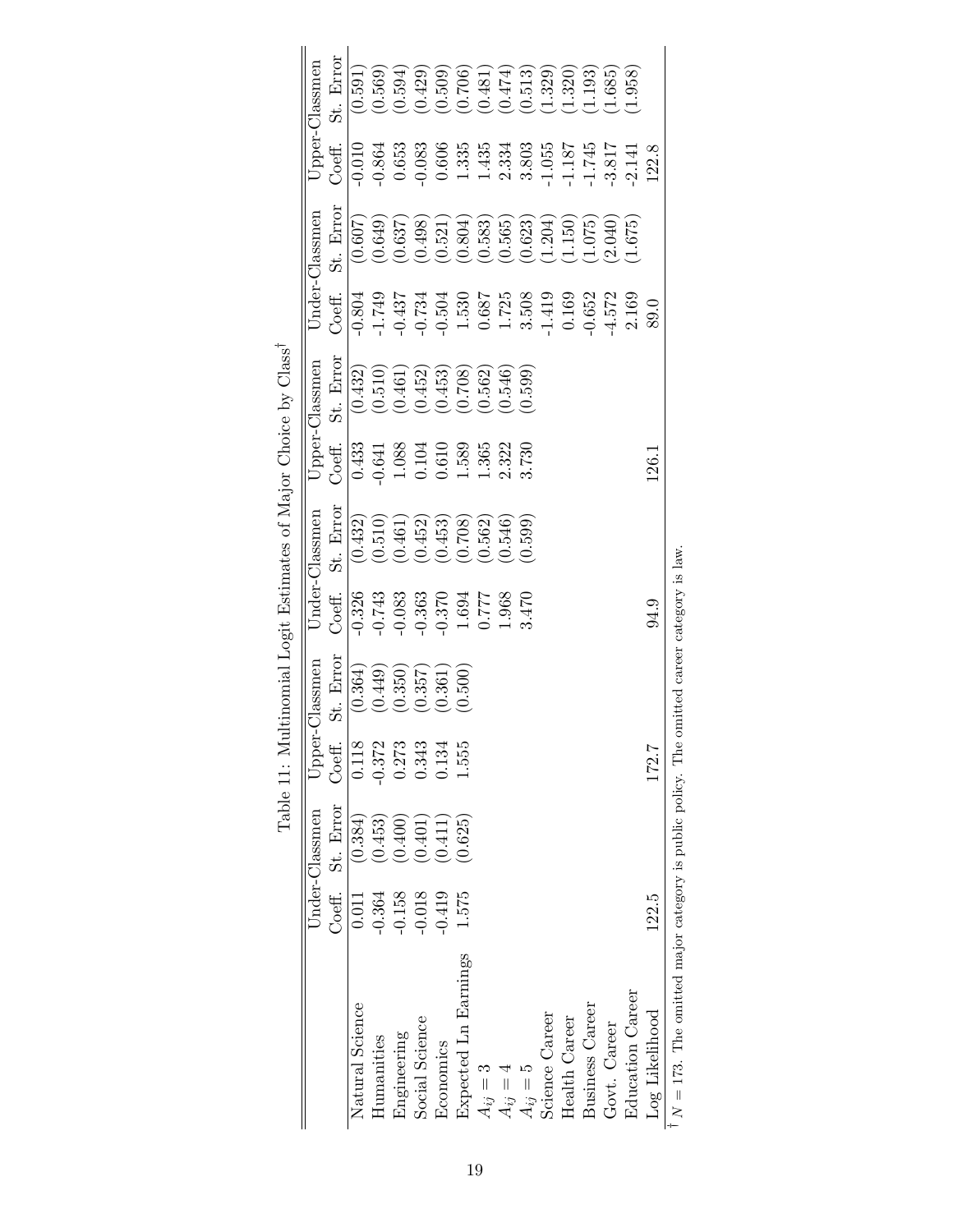|                                                                             | Upper-Classmen | St. Error        | (0.591)         | (0.569)    | (9.594)     | (0.429)        | (0.509)   | (0.706)              | (0.481)    | (674, 0)     | (0.513)                     | (1.329)  | (1.320)       | (1.193)         | (1.685)      | (1.958)          |                |                                                              |
|-----------------------------------------------------------------------------|----------------|------------------|-----------------|------------|-------------|----------------|-----------|----------------------|------------|--------------|-----------------------------|----------|---------------|-----------------|--------------|------------------|----------------|--------------------------------------------------------------|
|                                                                             |                | Coeff.           | 0.010           | 0.864      | 0.653       | $-0.083$       | 0.606     | 1.335                | 1.435      | 2.334        | 3.803                       | $-1.055$ | 1.187         | 1.745           | 3.817        | 2.141            | 122.8          |                                                              |
|                                                                             | Under-Classmen | St. Error        | (0.607)         | (0.649)    | (0.637)     | (0.498)        | (0.521)   | (0.804)              | (0.583)    | (0.565)      | (0.623)                     | (1.204)  | (1.150)       | (1.075)         | 2.040)       | (1.675)          |                |                                                              |
|                                                                             |                | Coeff.           | $-0.804$        | $-1.749$   | $-0.437$    | $-0.734$       | $-0.504$  | $1.530\,$            | $0.687$    | 1.725        | 3.508                       | $-1.419$ | 0.169         | $-0.652$        | 4.572        | 2.169            | 89.0           |                                                              |
|                                                                             | Upper-Classmen | St. Error        | (0.432)         | (0.510)    | (0.461)     | (0.452)        | (0.453)   | (0.708)              | (0.562)    | (0.546)      | (0.599)                     |          |               |                 |              |                  |                |                                                              |
|                                                                             |                | Coeff.           | 0.433           | 0.641      | 1.088       | 0.104          | 0.610     | 1.589                | 1.365      | 2.322        | 3.730                       |          |               |                 |              |                  | 126.1          |                                                              |
| Table 11: Multinomial Logit Estimates of Major Choice by Class <sup>†</sup> | Under-Classmen | St. Error        | (0.432)         | (0.510)    | (0.461)     | (0.452)        | (0.453)   | (0.708)              | (0.562)    | (0.546)      | (0.599)                     |          |               |                 |              |                  |                |                                                              |
|                                                                             |                | Coeff.           | $-0.326$        | 0.743      | 0.083       | 0.363          | $-0.370$  | 1.694                | 7777       | 1.968        | 3.470                       |          |               |                 |              |                  | 94.9           |                                                              |
|                                                                             | Upper-Classmen | St. Error        | (0.364)         | (0.449)    | (0.350)     | (0.357)        | (0.361)   | (0.500)              |            |              |                             |          |               |                 |              |                  |                | omitted career category is law                               |
|                                                                             |                | Coeff.           | 0.118           | $-0.372$   | 0.273       | 0.343          | 0.134     | 1.555                |            |              |                             |          |               |                 |              |                  | 172.7          |                                                              |
|                                                                             | Under-Classmen | Coeff. St. Error | (0.384)         | (0.453)    | (0.400)     | (0.401)        | (0.411)   | (0.625)              |            |              |                             |          |               |                 |              |                  |                |                                                              |
|                                                                             |                |                  | 0.011           | $-0.364$   | $-0.158$    | $-0.018$       | $-0.419$  | 1.575                |            |              |                             |          |               |                 |              |                  | 122.5          |                                                              |
|                                                                             |                |                  | Natural Science | Humanities | Engineering | Social Science | Economics | Expected Ln Earnings | $A_{ij}=3$ | $A_{ij} = 4$ | $A_{ij} = 5$ Science Career |          | Health Career | Business Career | Govt. Career | Education Career | Log Likelihood | $N = 173$ . The omitted major category is public policy. The |

19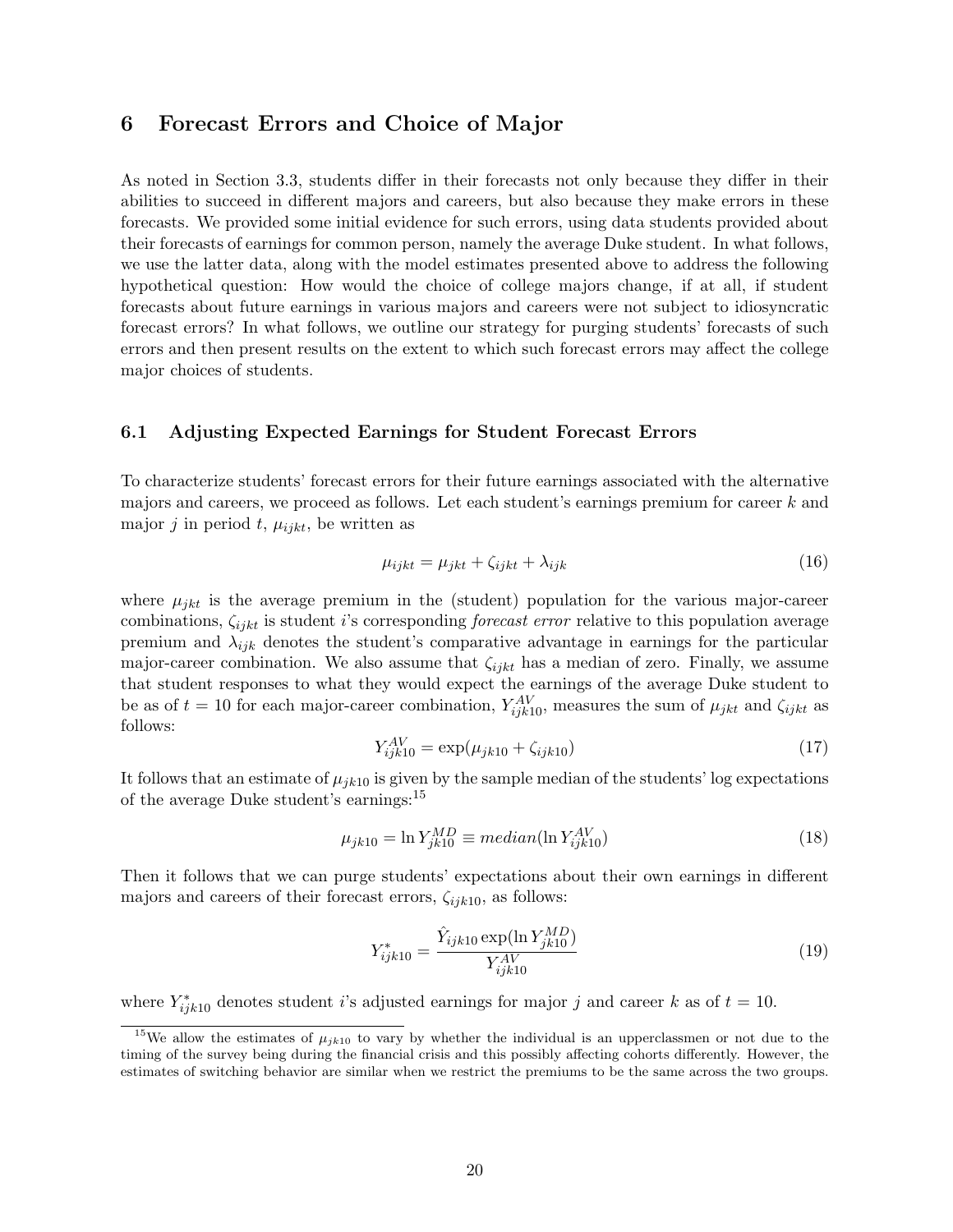### 6 Forecast Errors and Choice of Major

As noted in Section 3.3, students differ in their forecasts not only because they differ in their abilities to succeed in different majors and careers, but also because they make errors in these forecasts. We provided some initial evidence for such errors, using data students provided about their forecasts of earnings for common person, namely the average Duke student. In what follows, we use the latter data, along with the model estimates presented above to address the following hypothetical question: How would the choice of college majors change, if at all, if student forecasts about future earnings in various majors and careers were not subject to idiosyncratic forecast errors? In what follows, we outline our strategy for purging students' forecasts of such errors and then present results on the extent to which such forecast errors may affect the college major choices of students.

#### 6.1 Adjusting Expected Earnings for Student Forecast Errors

To characterize students' forecast errors for their future earnings associated with the alternative majors and careers, we proceed as follows. Let each student's earnings premium for career k and major j in period t,  $\mu_{i jkt}$ , be written as

$$
\mu_{ijkt} = \mu_{jkt} + \zeta_{ijkt} + \lambda_{ijk} \tag{16}
$$

where  $\mu_{jkt}$  is the average premium in the (student) population for the various major-career combinations,  $\zeta_{i\hat{i}k\hat{t}}$  is student i's corresponding forecast error relative to this population average premium and  $\lambda_{ijk}$  denotes the student's comparative advantage in earnings for the particular major-career combination. We also assume that  $\zeta_{i\hat{i}k\hat{t}}$  has a median of zero. Finally, we assume that student responses to what they would expect the earnings of the average Duke student to be as of  $t = 10$  for each major-career combination,  $Y_{ijk10}^{AV}$ , measures the sum of  $\mu_{jkt}$  and  $\zeta_{ijkt}$  as follows:

$$
Y_{ijkl0}^{AV} = \exp(\mu_{jk10} + \zeta_{ijk10})
$$
\n(17)

It follows that an estimate of  $\mu_{ik10}$  is given by the sample median of the students' log expectations of the average Duke student's earnings:<sup>15</sup>

$$
\mu_{jk10} = \ln Y_{jk10}^{MD} \equiv median(\ln Y_{ijk10}^{AV})
$$
\n(18)

Then it follows that we can purge students' expectations about their own earnings in different majors and careers of their forecast errors,  $\zeta_{ijk10}$ , as follows:

$$
Y_{ijk10}^* = \frac{\hat{Y}_{ijk10} \exp(\ln Y_{jkl0}^{MD})}{Y_{ijk10}^{AV}}
$$
\n(19)

where  $Y_{ijk10}^*$  denotes student i's adjusted earnings for major j and career k as of  $t = 10$ .

<sup>&</sup>lt;sup>15</sup>We allow the estimates of  $\mu_{jk10}$  to vary by whether the individual is an upperclassmen or not due to the timing of the survey being during the financial crisis and this possibly affecting cohorts differently. However, the estimates of switching behavior are similar when we restrict the premiums to be the same across the two groups.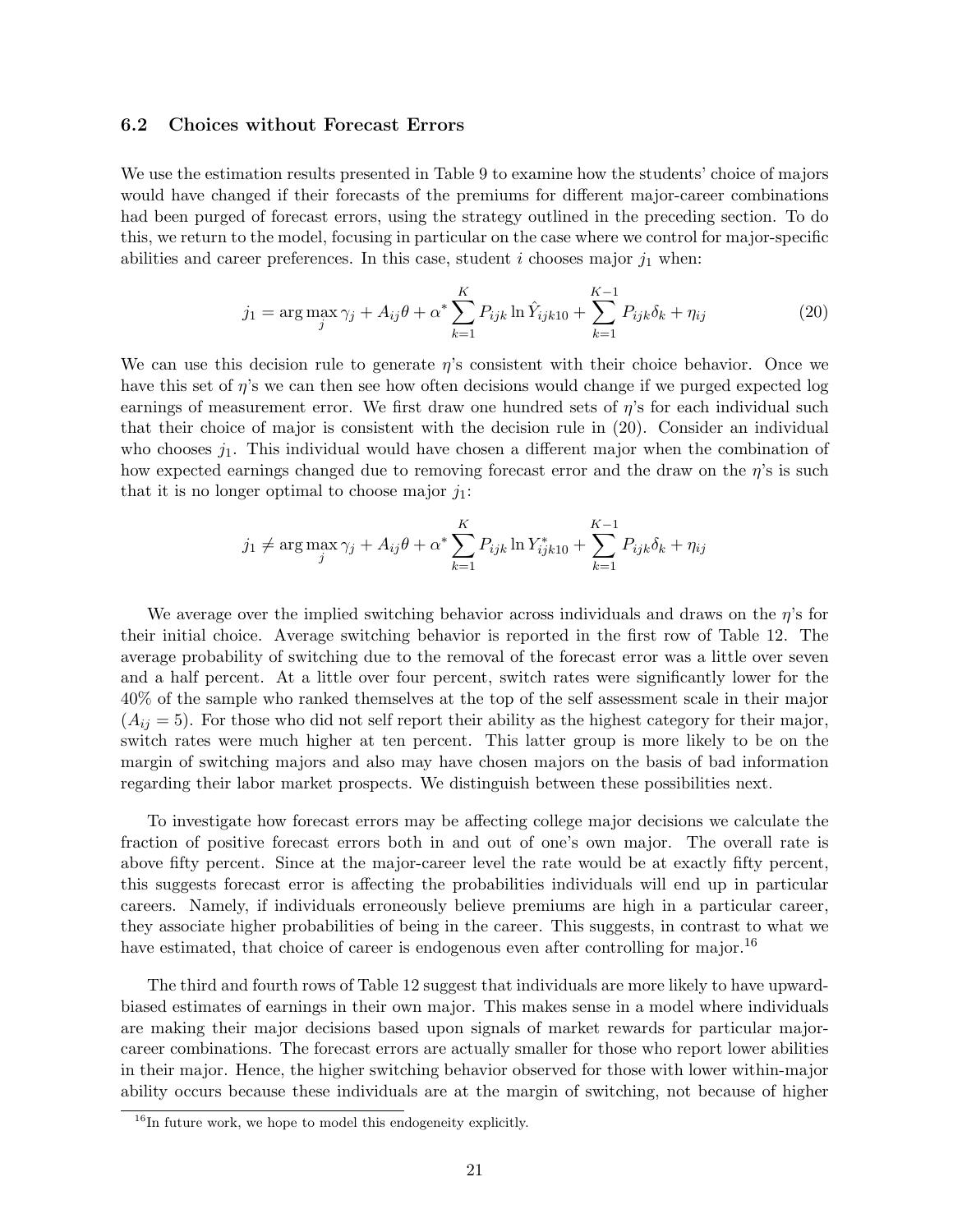#### 6.2 Choices without Forecast Errors

We use the estimation results presented in Table 9 to examine how the students' choice of majors would have changed if their forecasts of the premiums for different major-career combinations had been purged of forecast errors, using the strategy outlined in the preceding section. To do this, we return to the model, focusing in particular on the case where we control for major-specific abilities and career preferences. In this case, student  $i$  chooses major  $j_1$  when:

$$
j_1 = \arg \max_j \gamma_j + A_{ij}\theta + \alpha^* \sum_{k=1}^K P_{ijk} \ln \hat{Y}_{ijk10} + \sum_{k=1}^{K-1} P_{ijk}\delta_k + \eta_{ij}
$$
(20)

We can use this decision rule to generate  $\eta$ 's consistent with their choice behavior. Once we have this set of  $\eta$ 's we can then see how often decisions would change if we purged expected log earnings of measurement error. We first draw one hundred sets of  $\eta$ 's for each individual such that their choice of major is consistent with the decision rule in (20). Consider an individual who chooses  $j_1$ . This individual would have chosen a different major when the combination of how expected earnings changed due to removing forecast error and the draw on the  $\eta$ 's is such that it is no longer optimal to choose major  $j_1$ :

$$
j_1 \neq \arg \max_j \gamma_j + A_{ij}\theta + \alpha^* \sum_{k=1}^K P_{ijk} \ln Y_{ijk10}^* + \sum_{k=1}^{K-1} P_{ijk}\delta_k + \eta_{ij}
$$

We average over the implied switching behavior across individuals and draws on the  $\eta$ 's for their initial choice. Average switching behavior is reported in the first row of Table 12. The average probability of switching due to the removal of the forecast error was a little over seven and a half percent. At a little over four percent, switch rates were significantly lower for the 40% of the sample who ranked themselves at the top of the self assessment scale in their major  $(A_{ij} = 5)$ . For those who did not self report their ability as the highest category for their major, switch rates were much higher at ten percent. This latter group is more likely to be on the margin of switching majors and also may have chosen majors on the basis of bad information regarding their labor market prospects. We distinguish between these possibilities next.

To investigate how forecast errors may be affecting college major decisions we calculate the fraction of positive forecast errors both in and out of one's own major. The overall rate is above fifty percent. Since at the major-career level the rate would be at exactly fifty percent, this suggests forecast error is affecting the probabilities individuals will end up in particular careers. Namely, if individuals erroneously believe premiums are high in a particular career, they associate higher probabilities of being in the career. This suggests, in contrast to what we have estimated, that choice of career is endogenous even after controlling for major.<sup>16</sup>

The third and fourth rows of Table 12 suggest that individuals are more likely to have upwardbiased estimates of earnings in their own major. This makes sense in a model where individuals are making their major decisions based upon signals of market rewards for particular majorcareer combinations. The forecast errors are actually smaller for those who report lower abilities in their major. Hence, the higher switching behavior observed for those with lower within-major ability occurs because these individuals are at the margin of switching, not because of higher

 $16$ In future work, we hope to model this endogeneity explicitly.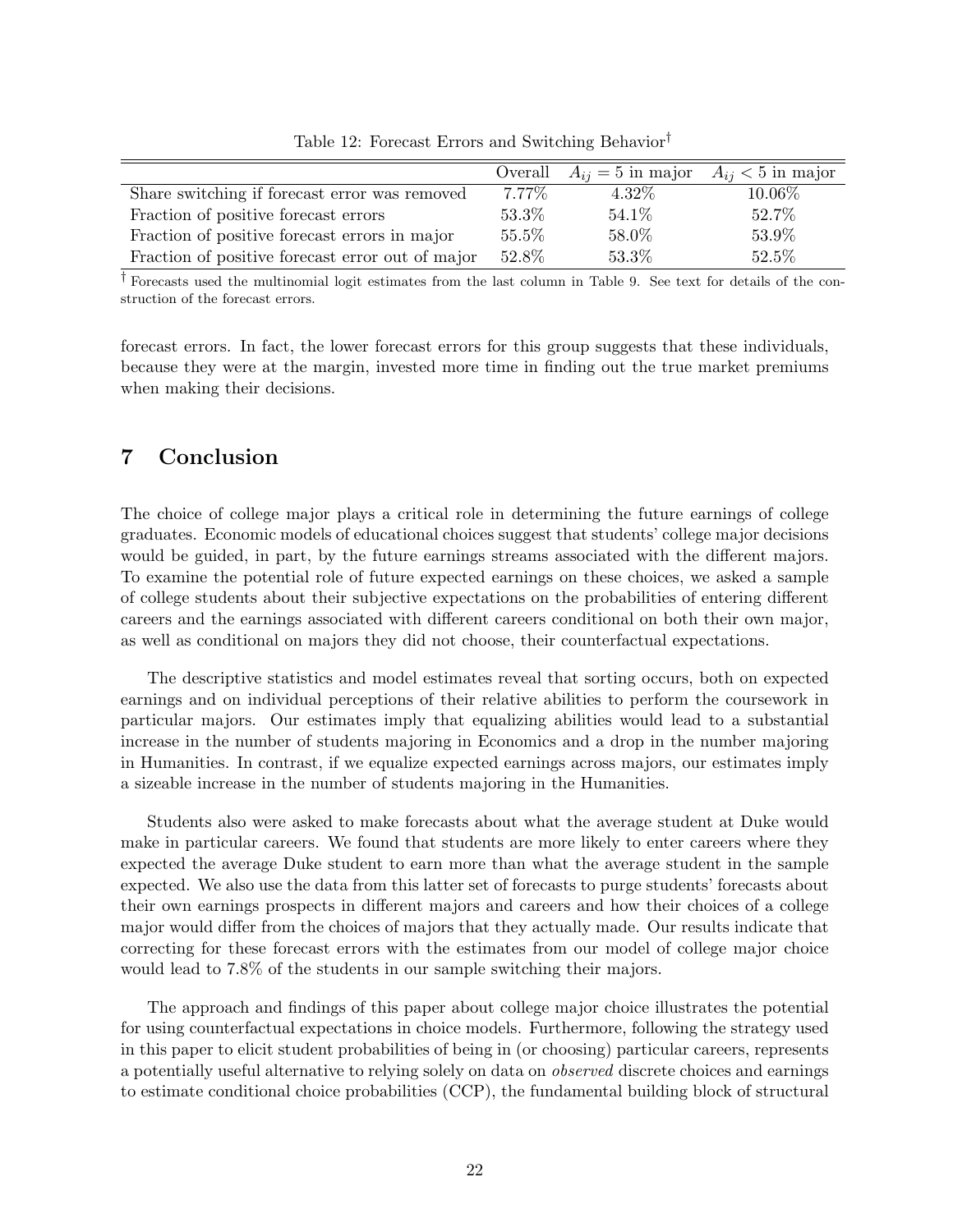|                                                  |        | Overall $A_{ij} = 5$ in major | $A_{ij}$ < 5 in major |
|--------------------------------------------------|--------|-------------------------------|-----------------------|
| Share switching if forecast error was removed    | 7.77\% | 4.32%                         | 10.06%                |
| Fraction of positive forecast errors             | 53.3%  | 54.1%                         | 52.7%                 |
| Fraction of positive forecast errors in major    | 55.5%  | 58.0%                         | 53.9%                 |
| Fraction of positive forecast error out of major | 52.8%  | 53.3%                         | 52.5%                 |

Table 12: Forecast Errors and Switching Behavior†

† Forecasts used the multinomial logit estimates from the last column in Table 9. See text for details of the construction of the forecast errors.

forecast errors. In fact, the lower forecast errors for this group suggests that these individuals, because they were at the margin, invested more time in finding out the true market premiums when making their decisions.

# 7 Conclusion

The choice of college major plays a critical role in determining the future earnings of college graduates. Economic models of educational choices suggest that students' college major decisions would be guided, in part, by the future earnings streams associated with the different majors. To examine the potential role of future expected earnings on these choices, we asked a sample of college students about their subjective expectations on the probabilities of entering different careers and the earnings associated with different careers conditional on both their own major, as well as conditional on majors they did not choose, their counterfactual expectations.

The descriptive statistics and model estimates reveal that sorting occurs, both on expected earnings and on individual perceptions of their relative abilities to perform the coursework in particular majors. Our estimates imply that equalizing abilities would lead to a substantial increase in the number of students majoring in Economics and a drop in the number majoring in Humanities. In contrast, if we equalize expected earnings across majors, our estimates imply a sizeable increase in the number of students majoring in the Humanities.

Students also were asked to make forecasts about what the average student at Duke would make in particular careers. We found that students are more likely to enter careers where they expected the average Duke student to earn more than what the average student in the sample expected. We also use the data from this latter set of forecasts to purge students' forecasts about their own earnings prospects in different majors and careers and how their choices of a college major would differ from the choices of majors that they actually made. Our results indicate that correcting for these forecast errors with the estimates from our model of college major choice would lead to 7.8% of the students in our sample switching their majors.

The approach and findings of this paper about college major choice illustrates the potential for using counterfactual expectations in choice models. Furthermore, following the strategy used in this paper to elicit student probabilities of being in (or choosing) particular careers, represents a potentially useful alternative to relying solely on data on observed discrete choices and earnings to estimate conditional choice probabilities (CCP), the fundamental building block of structural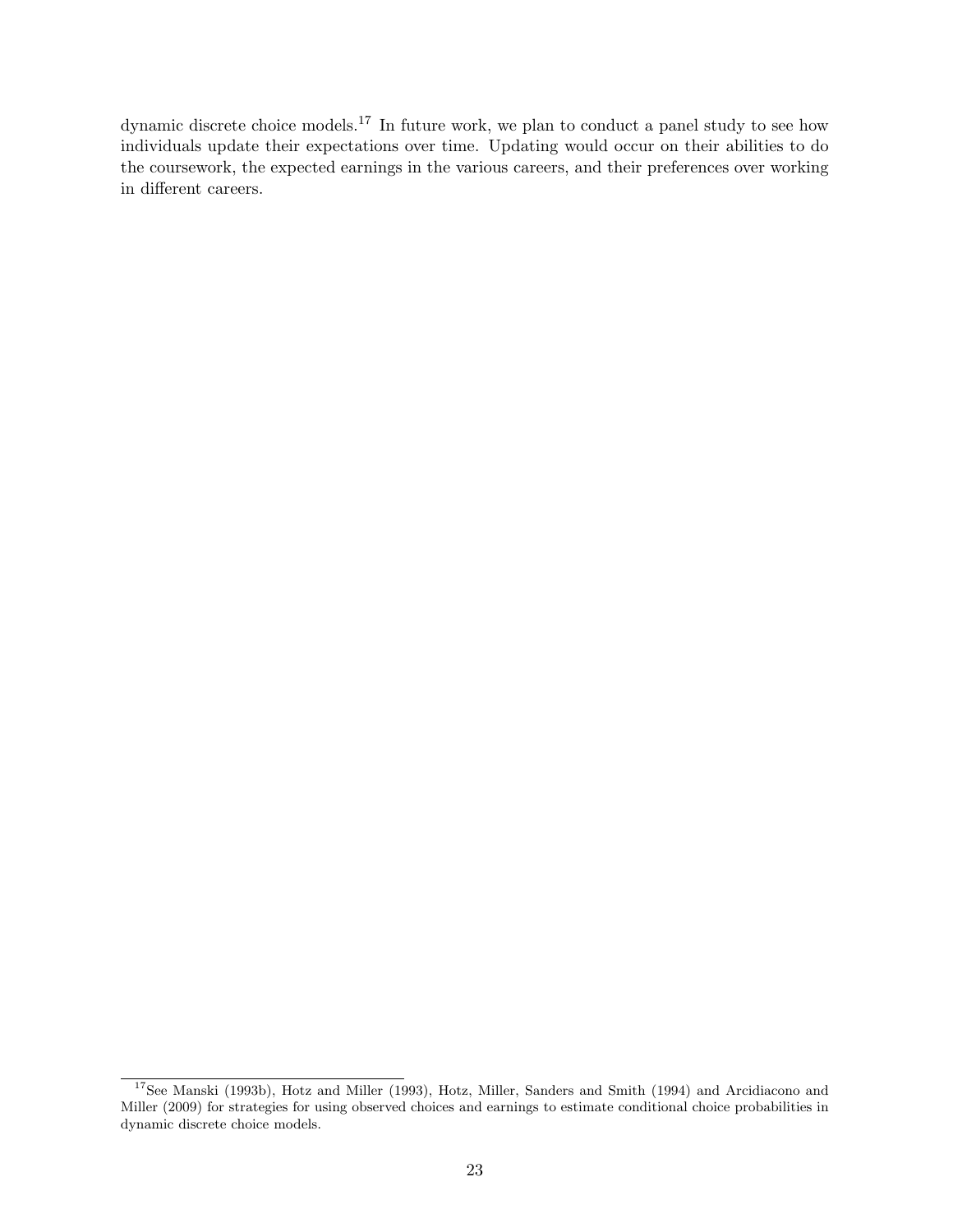dynamic discrete choice models.<sup>17</sup> In future work, we plan to conduct a panel study to see how individuals update their expectations over time. Updating would occur on their abilities to do the coursework, the expected earnings in the various careers, and their preferences over working in different careers.

<sup>&</sup>lt;sup>17</sup>See Manski (1993b), Hotz and Miller (1993), Hotz, Miller, Sanders and Smith (1994) and Arcidiacono and Miller (2009) for strategies for using observed choices and earnings to estimate conditional choice probabilities in dynamic discrete choice models.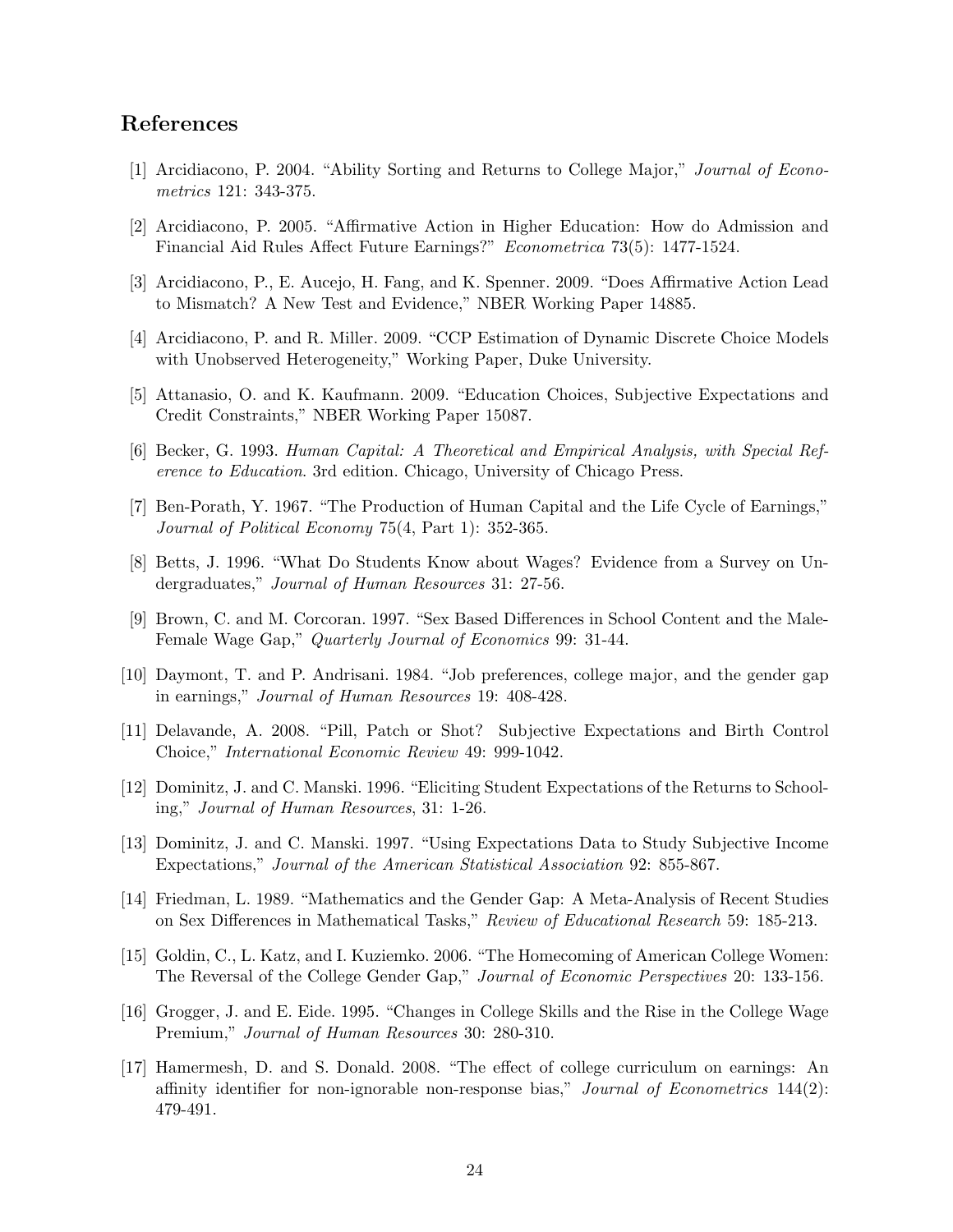### References

- [1] Arcidiacono, P. 2004. "Ability Sorting and Returns to College Major," Journal of Econometrics 121: 343-375.
- [2] Arcidiacono, P. 2005. "Affirmative Action in Higher Education: How do Admission and Financial Aid Rules Affect Future Earnings?" Econometrica 73(5): 1477-1524.
- [3] Arcidiacono, P., E. Aucejo, H. Fang, and K. Spenner. 2009. "Does Affirmative Action Lead to Mismatch? A New Test and Evidence," NBER Working Paper 14885.
- [4] Arcidiacono, P. and R. Miller. 2009. "CCP Estimation of Dynamic Discrete Choice Models with Unobserved Heterogeneity," Working Paper, Duke University.
- [5] Attanasio, O. and K. Kaufmann. 2009. "Education Choices, Subjective Expectations and Credit Constraints," NBER Working Paper 15087.
- [6] Becker, G. 1993. Human Capital: A Theoretical and Empirical Analysis, with Special Reference to Education. 3rd edition. Chicago, University of Chicago Press.
- [7] Ben-Porath, Y. 1967. "The Production of Human Capital and the Life Cycle of Earnings," Journal of Political Economy 75(4, Part 1): 352-365.
- [8] Betts, J. 1996. "What Do Students Know about Wages? Evidence from a Survey on Undergraduates," Journal of Human Resources 31: 27-56.
- [9] Brown, C. and M. Corcoran. 1997. "Sex Based Differences in School Content and the Male-Female Wage Gap," Quarterly Journal of Economics 99: 31-44.
- [10] Daymont, T. and P. Andrisani. 1984. "Job preferences, college major, and the gender gap in earnings," Journal of Human Resources 19: 408-428.
- [11] Delavande, A. 2008. "Pill, Patch or Shot? Subjective Expectations and Birth Control Choice," International Economic Review 49: 999-1042.
- [12] Dominitz, J. and C. Manski. 1996. "Eliciting Student Expectations of the Returns to Schooling," Journal of Human Resources, 31: 1-26.
- [13] Dominitz, J. and C. Manski. 1997. "Using Expectations Data to Study Subjective Income Expectations," Journal of the American Statistical Association 92: 855-867.
- [14] Friedman, L. 1989. "Mathematics and the Gender Gap: A Meta-Analysis of Recent Studies on Sex Differences in Mathematical Tasks," Review of Educational Research 59: 185-213.
- [15] Goldin, C., L. Katz, and I. Kuziemko. 2006. "The Homecoming of American College Women: The Reversal of the College Gender Gap," Journal of Economic Perspectives 20: 133-156.
- [16] Grogger, J. and E. Eide. 1995. "Changes in College Skills and the Rise in the College Wage Premium," Journal of Human Resources 30: 280-310.
- [17] Hamermesh, D. and S. Donald. 2008. "The effect of college curriculum on earnings: An affinity identifier for non-ignorable non-response bias," Journal of Econometrics  $144(2)$ : 479-491.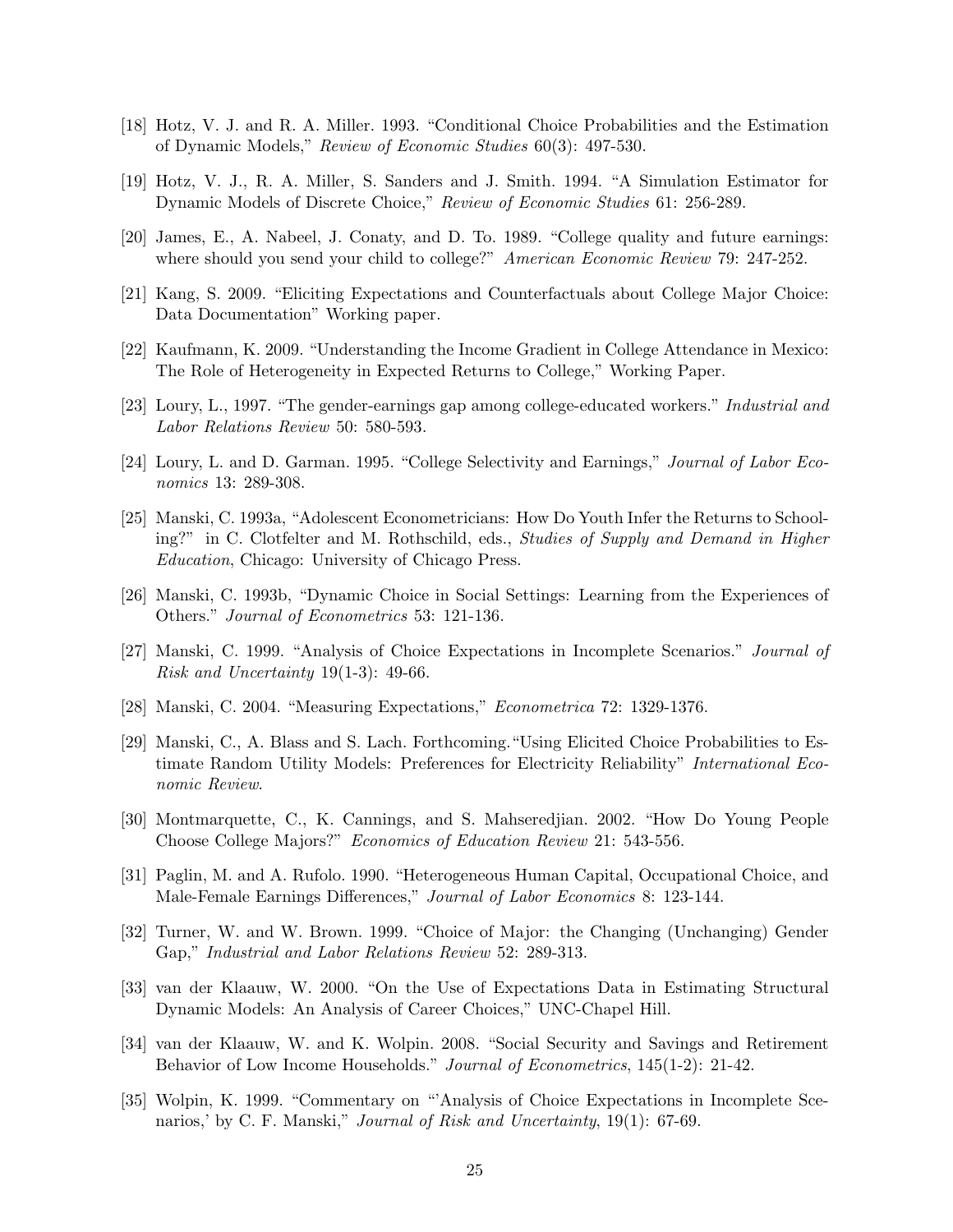- [18] Hotz, V. J. and R. A. Miller. 1993. "Conditional Choice Probabilities and the Estimation of Dynamic Models," Review of Economic Studies 60(3): 497-530.
- [19] Hotz, V. J., R. A. Miller, S. Sanders and J. Smith. 1994. "A Simulation Estimator for Dynamic Models of Discrete Choice," Review of Economic Studies 61: 256-289.
- [20] James, E., A. Nabeel, J. Conaty, and D. To. 1989. "College quality and future earnings: where should you send your child to college?" American Economic Review 79: 247-252.
- [21] Kang, S. 2009. "Eliciting Expectations and Counterfactuals about College Major Choice: Data Documentation" Working paper.
- [22] Kaufmann, K. 2009. "Understanding the Income Gradient in College Attendance in Mexico: The Role of Heterogeneity in Expected Returns to College," Working Paper.
- [23] Loury, L., 1997. "The gender-earnings gap among college-educated workers." Industrial and Labor Relations Review 50: 580-593.
- [24] Loury, L. and D. Garman. 1995. "College Selectivity and Earnings," Journal of Labor Economics 13: 289-308.
- [25] Manski, C. 1993a, "Adolescent Econometricians: How Do Youth Infer the Returns to Schooling?" in C. Clotfelter and M. Rothschild, eds., Studies of Supply and Demand in Higher Education, Chicago: University of Chicago Press.
- [26] Manski, C. 1993b, "Dynamic Choice in Social Settings: Learning from the Experiences of Others." Journal of Econometrics 53: 121-136.
- [27] Manski, C. 1999. "Analysis of Choice Expectations in Incomplete Scenarios." Journal of Risk and Uncertainty  $19(1-3)$ : 49-66.
- [28] Manski, C. 2004. "Measuring Expectations," Econometrica 72: 1329-1376.
- [29] Manski, C., A. Blass and S. Lach. Forthcoming."Using Elicited Choice Probabilities to Estimate Random Utility Models: Preferences for Electricity Reliability" International Economic Review.
- [30] Montmarquette, C., K. Cannings, and S. Mahseredjian. 2002. "How Do Young People Choose College Majors?" Economics of Education Review 21: 543-556.
- [31] Paglin, M. and A. Rufolo. 1990. "Heterogeneous Human Capital, Occupational Choice, and Male-Female Earnings Differences," Journal of Labor Economics 8: 123-144.
- [32] Turner, W. and W. Brown. 1999. "Choice of Major: the Changing (Unchanging) Gender Gap," Industrial and Labor Relations Review 52: 289-313.
- [33] van der Klaauw, W. 2000. "On the Use of Expectations Data in Estimating Structural Dynamic Models: An Analysis of Career Choices," UNC-Chapel Hill.
- [34] van der Klaauw, W. and K. Wolpin. 2008. "Social Security and Savings and Retirement Behavior of Low Income Households." Journal of Econometrics, 145(1-2): 21-42.
- [35] Wolpin, K. 1999. "Commentary on "'Analysis of Choice Expectations in Incomplete Scenarios,' by C. F. Manski," Journal of Risk and Uncertainty, 19(1): 67-69.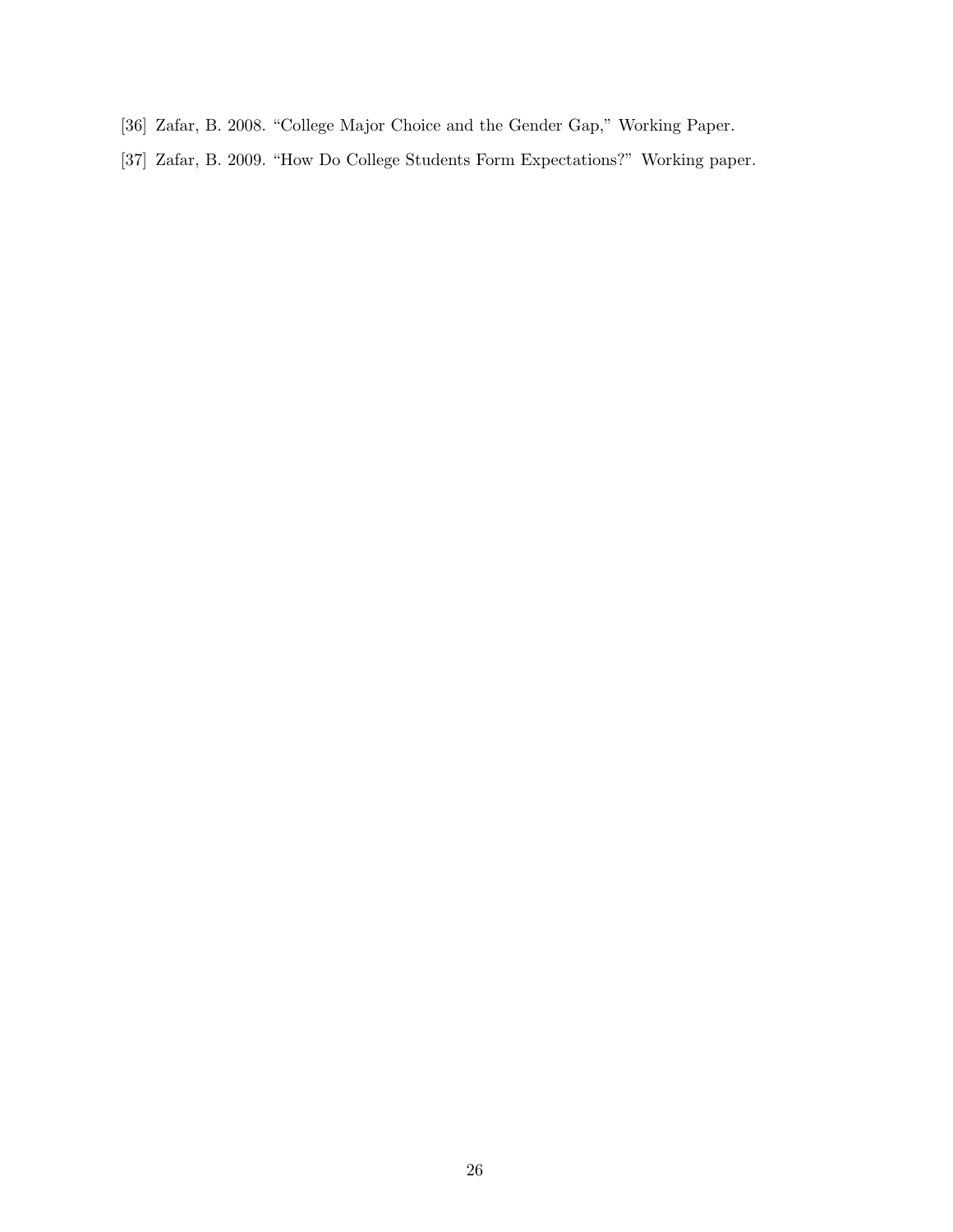- [36] Zafar, B. 2008. "College Major Choice and the Gender Gap," Working Paper.
- [37] Zafar, B. 2009. "How Do College Students Form Expectations?" Working paper.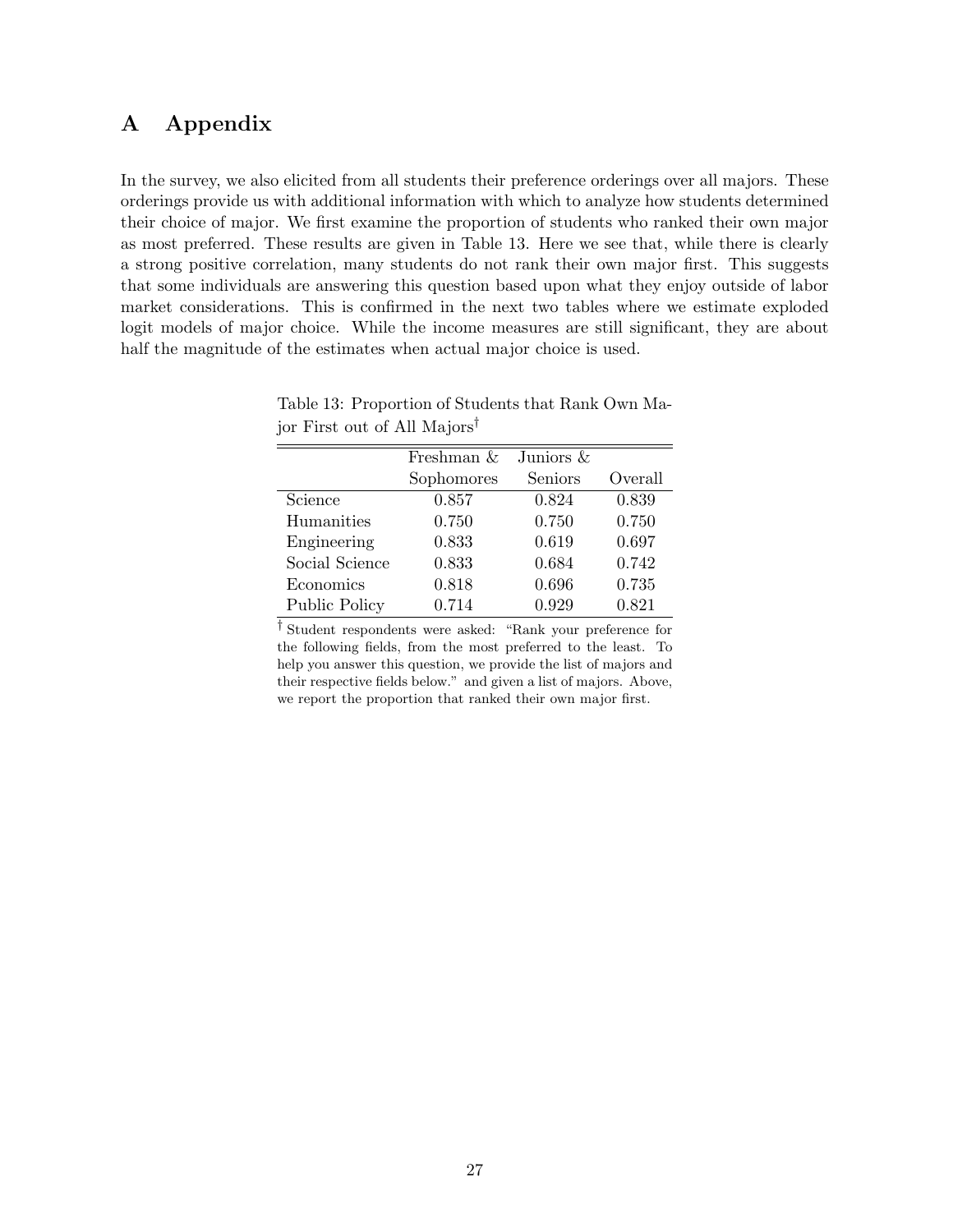# A Appendix

In the survey, we also elicited from all students their preference orderings over all majors. These orderings provide us with additional information with which to analyze how students determined their choice of major. We first examine the proportion of students who ranked their own major as most preferred. These results are given in Table 13. Here we see that, while there is clearly a strong positive correlation, many students do not rank their own major first. This suggests that some individuals are answering this question based upon what they enjoy outside of labor market considerations. This is confirmed in the next two tables where we estimate exploded logit models of major choice. While the income measures are still significant, they are about half the magnitude of the estimates when actual major choice is used.

|                | Freshman & | Juniors $\&$ |         |
|----------------|------------|--------------|---------|
|                | Sophomores | Seniors      | Overall |
| Science        | 0.857      | 0.824        | 0.839   |
| Humanities     | 0.750      | 0.750        | 0.750   |
| Engineering    | 0.833      | 0.619        | 0.697   |
| Social Science | 0.833      | 0.684        | 0.742   |
| Economics      | 0.818      | 0.696        | 0.735   |
| Public Policy  | 0.714      | 0.929        | 0.821   |

Table 13: Proportion of Students that Rank Own Major First out of All Majors†

† Student respondents were asked: "Rank your preference for the following fields, from the most preferred to the least. To help you answer this question, we provide the list of majors and their respective fields below." and given a list of majors. Above, we report the proportion that ranked their own major first.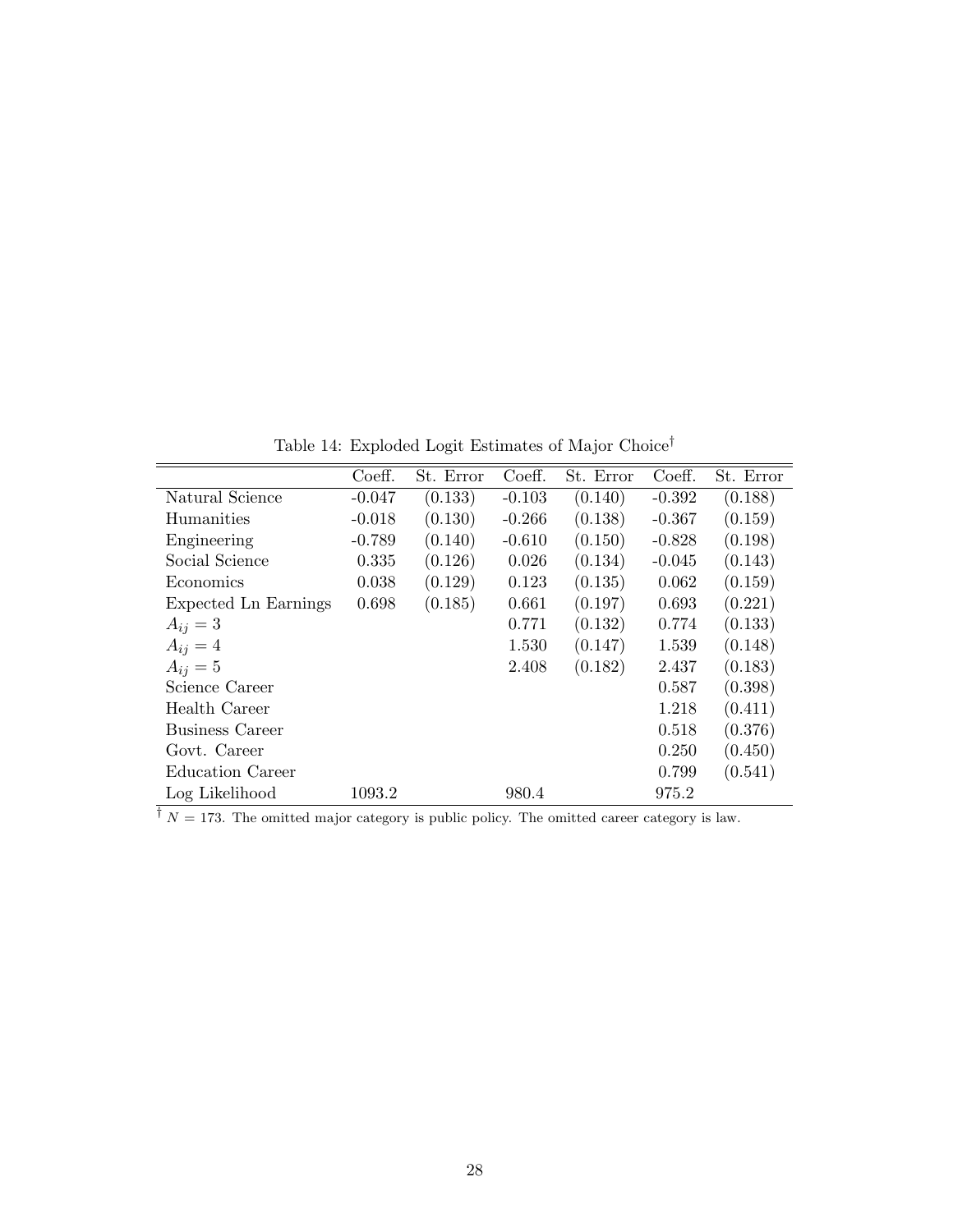Table 14: Exploded Logit Estimates of Major Choice $^\dagger$ 

|                        | Coeff.   | St. Error | Coeff.   | St. Error | Coeff.   | St. Error |
|------------------------|----------|-----------|----------|-----------|----------|-----------|
| Natural Science        | $-0.047$ | (0.133)   | $-0.103$ | (0.140)   | $-0.392$ | (0.188)   |
| <b>Humanities</b>      | $-0.018$ | (0.130)   | $-0.266$ | (0.138)   | $-0.367$ | (0.159)   |
| Engineering            | $-0.789$ | (0.140)   | $-0.610$ | (0.150)   | $-0.828$ | (0.198)   |
| Social Science         | 0.335    | (0.126)   | 0.026    | (0.134)   | $-0.045$ | (0.143)   |
| Economics              | 0.038    | (0.129)   | 0.123    | (0.135)   | 0.062    | (0.159)   |
| Expected Ln Earnings   | 0.698    | (0.185)   | 0.661    | (0.197)   | 0.693    | (0.221)   |
| $A_{ij}=3$             |          |           | 0.771    | (0.132)   | 0.774    | (0.133)   |
| $A_{ij}=4$             |          |           | 1.530    | (0.147)   | 1.539    | (0.148)   |
| $A_{ij}=5$             |          |           | 2.408    | (0.182)   | 2.437    | (0.183)   |
| Science Career         |          |           |          |           | 0.587    | (0.398)   |
| Health Career          |          |           |          |           | 1.218    | (0.411)   |
| <b>Business Career</b> |          |           |          |           | 0.518    | (0.376)   |
| Govt. Career           |          |           |          |           | 0.250    | (0.450)   |
| Education Career       |          |           |          |           | 0.799    | (0.541)   |
| Log Likelihood         | 1093.2   |           | 980.4    |           | 975.2    |           |

 $\dagger N = 173$ . The omitted major category is public policy. The omitted career category is law.